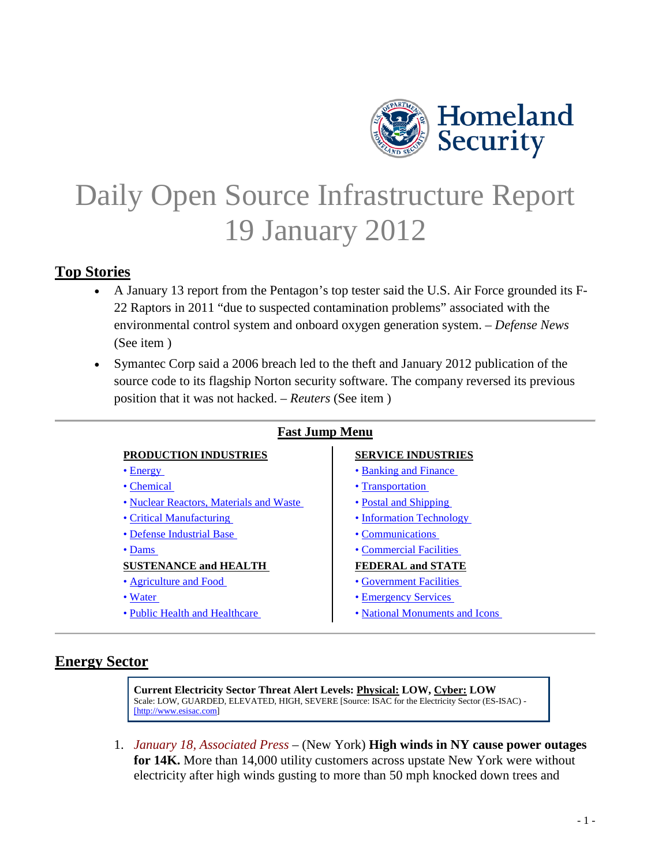

# <span id="page-0-1"></span>Daily Open Source Infrastructure Report 19 January 2012

# **Top Stories**

- A January 13 report from the Pentagon's top tester said the U.S. Air Force grounded its F-22 Raptors in 2011 "due to suspected contamination problems" associated with the environmental control system and onboard oxygen generation system. – *Defense News* (See item )
- Symantec Corp said a 2006 breach led to the theft and January 2012 publication of the source code to its flagship Norton security software. The company reversed its previous position that it was not hacked. – *Reuters* (See item )

#### **Fast Jump Menu**

#### **PRODUCTION INDUSTRIES SERVICE INDUSTRIES**

- 
- 
- • [Nuclear Reactors, Materials and Waste](#page-3-0)  Postal and Shipping
- 
- • [Defense Industrial Base](#page-3-2)  Communications
- 

#### **SUSTENANCE and HEALTH FEDERAL and STATE**

- 
- 
- 

- • [Energy](#page-0-0)  Banking and Finance
- • [Chemical](#page-2-0)  Transportation
	-
- • [Critical Manufacturing](#page-3-1)  Information Technology
	-
- • [Dams](#page-22-0)  Commercial Facilities

- • [Agriculture and Food](#page-11-1)  **Government Facilities**
- • [Water](#page-13-1)  Emergency Services
- • [Public Health and Healthcare](#page-13-2)  National Monuments and Icons

# <span id="page-0-0"></span>**Energy Sector**

**Current Electricity Sector Threat Alert Levels: Physical: LOW, Cyber: LOW** Scale: LOW, GUARDED, ELEVATED, HIGH, SEVERE [Source: ISAC for the Electricity Sector (ES-ISAC) - [\[http://www.esisac.com\]](http://www.esisac.com/)

1. *January 18, Associated Press* – (New York) **High winds in NY cause power outages for 14K.** More than 14,000 utility customers across upstate New York were without electricity after high winds gusting to more than 50 mph knocked down trees and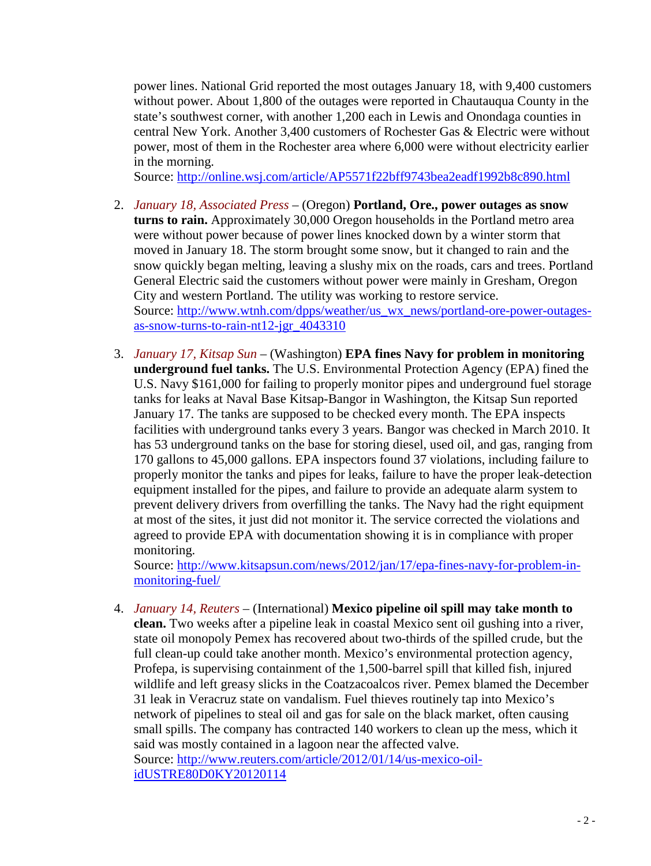power lines. National Grid reported the most outages January 18, with 9,400 customers without power. About 1,800 of the outages were reported in Chautauqua County in the state's southwest corner, with another 1,200 each in Lewis and Onondaga counties in central New York. Another 3,400 customers of Rochester Gas & Electric were without power, most of them in the Rochester area where 6,000 were without electricity earlier in the morning.

Source:<http://online.wsj.com/article/AP5571f22bff9743bea2eadf1992b8c890.html>

- 2. *January 18, Associated Press* (Oregon) **Portland, Ore., power outages as snow turns to rain.** Approximately 30,000 Oregon households in the Portland metro area were without power because of power lines knocked down by a winter storm that moved in January 18. The storm brought some snow, but it changed to rain and the snow quickly began melting, leaving a slushy mix on the roads, cars and trees. Portland General Electric said the customers without power were mainly in Gresham, Oregon City and western Portland. The utility was working to restore service. Source: [http://www.wtnh.com/dpps/weather/us\\_wx\\_news/portland-ore-power-outages](http://www.wtnh.com/dpps/weather/us_wx_news/portland-ore-power-outages-as-snow-turns-to-rain-nt12-jgr_4043310)[as-snow-turns-to-rain-nt12-jgr\\_4043310](http://www.wtnh.com/dpps/weather/us_wx_news/portland-ore-power-outages-as-snow-turns-to-rain-nt12-jgr_4043310)
- <span id="page-1-0"></span>3. *January 17, Kitsap Sun* – (Washington) **EPA fines Navy for problem in monitoring underground fuel tanks.** The U.S. Environmental Protection Agency (EPA) fined the U.S. Navy \$161,000 for failing to properly monitor pipes and underground fuel storage tanks for leaks at Naval Base Kitsap-Bangor in Washington, the Kitsap Sun reported January 17. The tanks are supposed to be checked every month. The EPA inspects facilities with underground tanks every 3 years. Bangor was checked in March 2010. It has 53 underground tanks on the base for storing diesel, used oil, and gas, ranging from 170 gallons to 45,000 gallons. EPA inspectors found 37 violations, including failure to properly monitor the tanks and pipes for leaks, failure to have the proper leak-detection equipment installed for the pipes, and failure to provide an adequate alarm system to prevent delivery drivers from overfilling the tanks. The Navy had the right equipment at most of the sites, it just did not monitor it. The service corrected the violations and agreed to provide EPA with documentation showing it is in compliance with proper monitoring.

Source: [http://www.kitsapsun.com/news/2012/jan/17/epa-fines-navy-for-problem-in](http://www.kitsapsun.com/news/2012/jan/17/epa-fines-navy-for-problem-in-monitoring-fuel/)[monitoring-fuel/](http://www.kitsapsun.com/news/2012/jan/17/epa-fines-navy-for-problem-in-monitoring-fuel/)

4. *January 14, Reuters* – (International) **Mexico pipeline oil spill may take month to clean.** Two weeks after a pipeline leak in coastal Mexico sent oil gushing into a river, state oil monopoly Pemex has recovered about two-thirds of the spilled crude, but the full clean-up could take another month. Mexico's environmental protection agency, Profepa, is supervising containment of the 1,500-barrel spill that killed fish, injured wildlife and left greasy slicks in the Coatzacoalcos river. Pemex blamed the December 31 leak in Veracruz state on vandalism. Fuel thieves routinely tap into Mexico's network of pipelines to steal oil and gas for sale on the black market, often causing small spills. The company has contracted 140 workers to clean up the mess, which it said was mostly contained in a lagoon near the affected valve. Source: [http://www.reuters.com/article/2012/01/14/us-mexico-oil](http://www.reuters.com/article/2012/01/14/us-mexico-oil-idUSTRE80D0KY20120114)[idUSTRE80D0KY20120114](http://www.reuters.com/article/2012/01/14/us-mexico-oil-idUSTRE80D0KY20120114)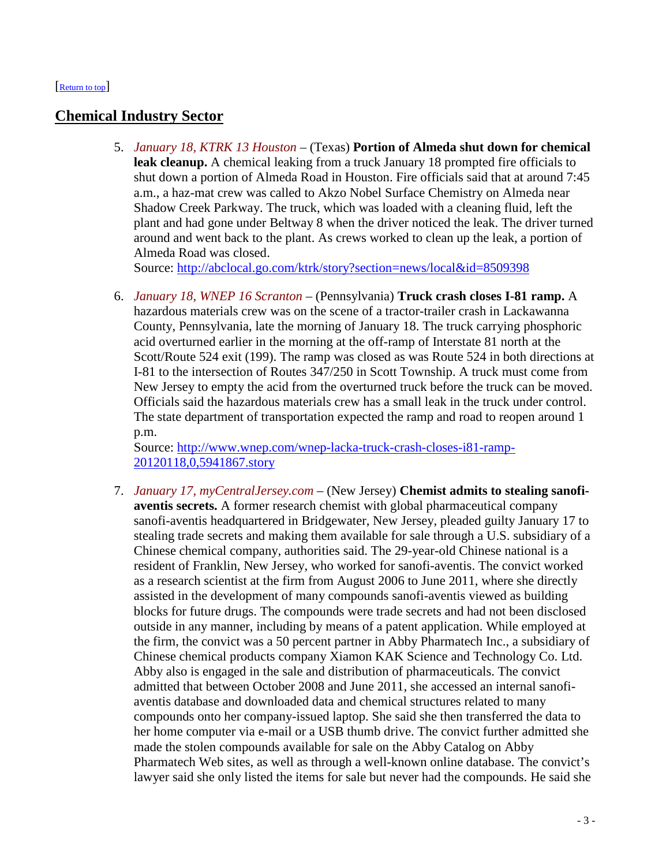#### <span id="page-2-0"></span>[\[Return to top\]](#page-0-1)

# <span id="page-2-1"></span>**Chemical Industry Sector**

5. *January 18, KTRK 13 Houston* – (Texas) **Portion of Almeda shut down for chemical leak cleanup.** A chemical leaking from a truck January 18 prompted fire officials to shut down a portion of Almeda Road in Houston. Fire officials said that at around 7:45 a.m., a haz-mat crew was called to Akzo Nobel Surface Chemistry on Almeda near Shadow Creek Parkway. The truck, which was loaded with a cleaning fluid, left the plant and had gone under Beltway 8 when the driver noticed the leak. The driver turned around and went back to the plant. As crews worked to clean up the leak, a portion of Almeda Road was closed.

Source:<http://abclocal.go.com/ktrk/story?section=news/local&id=8509398>

<span id="page-2-2"></span>6. *January 18, WNEP 16 Scranton* – (Pennsylvania) **Truck crash closes I-81 ramp.** A hazardous materials crew was on the scene of a tractor-trailer crash in Lackawanna County, Pennsylvania, late the morning of January 18. The truck carrying phosphoric acid overturned earlier in the morning at the off-ramp of Interstate 81 north at the Scott/Route 524 exit (199). The ramp was closed as was Route 524 in both directions at I-81 to the intersection of Routes 347/250 in Scott Township. A truck must come from New Jersey to empty the acid from the overturned truck before the truck can be moved. Officials said the hazardous materials crew has a small leak in the truck under control. The state department of transportation expected the ramp and road to reopen around 1 p.m.

Source: [http://www.wnep.com/wnep-lacka-truck-crash-closes-i81-ramp-](http://www.wnep.com/wnep-lacka-truck-crash-closes-i81-ramp-20120118,0,5941867.story)[20120118,0,5941867.story](http://www.wnep.com/wnep-lacka-truck-crash-closes-i81-ramp-20120118,0,5941867.story)

<span id="page-2-3"></span>7. *January 17, myCentralJersey.com* – (New Jersey) **Chemist admits to stealing sanofiaventis secrets.** A former research chemist with global pharmaceutical company sanofi-aventis headquartered in Bridgewater, New Jersey, pleaded guilty January 17 to stealing trade secrets and making them available for sale through a U.S. subsidiary of a Chinese chemical company, authorities said. The 29-year-old Chinese national is a resident of Franklin, New Jersey, who worked for sanofi-aventis. The convict worked as a research scientist at the firm from August 2006 to June 2011, where she directly assisted in the development of many compounds sanofi-aventis viewed as building blocks for future drugs. The compounds were trade secrets and had not been disclosed outside in any manner, including by means of a patent application. While employed at the firm, the convict was a 50 percent partner in Abby Pharmatech Inc., a subsidiary of Chinese chemical products company Xiamon KAK Science and Technology Co. Ltd. Abby also is engaged in the sale and distribution of pharmaceuticals. The convict admitted that between October 2008 and June 2011, she accessed an internal sanofiaventis database and downloaded data and chemical structures related to many compounds onto her company-issued laptop. She said she then transferred the data to her home computer via e-mail or a USB thumb drive. The convict further admitted she made the stolen compounds available for sale on the Abby Catalog on Abby Pharmatech Web sites, as well as through a well-known online database. The convict's lawyer said she only listed the items for sale but never had the compounds. He said she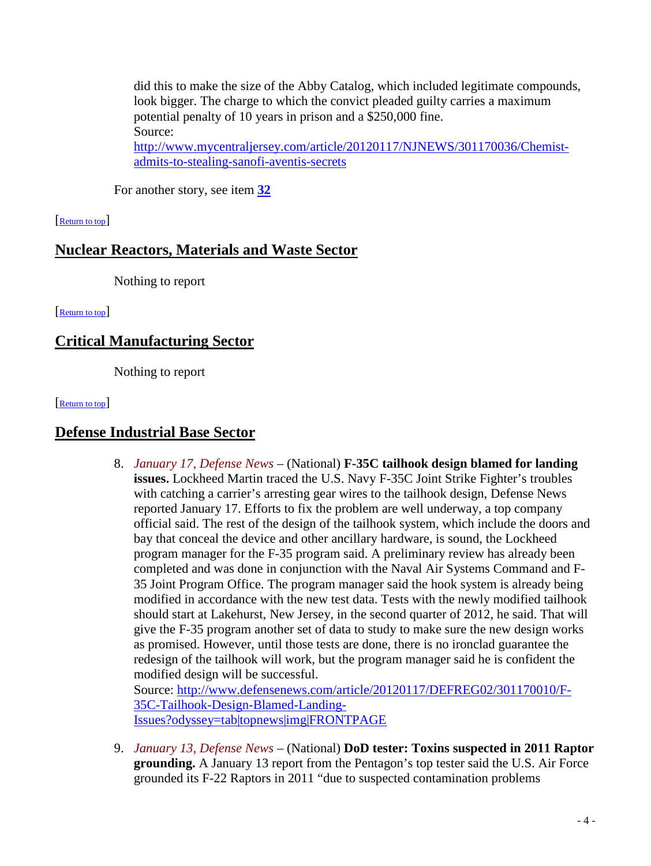did this to make the size of the Abby Catalog, which included legitimate compounds, look bigger. The charge to which the convict pleaded guilty carries a maximum potential penalty of 10 years in prison and a \$250,000 fine. Source: [http://www.mycentraljersey.com/article/20120117/NJNEWS/301170036/Chemist](http://www.mycentraljersey.com/article/20120117/NJNEWS/301170036/Chemist-admits-to-stealing-sanofi-aventis-secrets)[admits-to-stealing-sanofi-aventis-secrets](http://www.mycentraljersey.com/article/20120117/NJNEWS/301170036/Chemist-admits-to-stealing-sanofi-aventis-secrets)

<span id="page-3-0"></span>For another story, see item **[32](#page-12-0)**

#### [\[Return to top\]](#page-0-1)

# **Nuclear Reactors, Materials and Waste Sector**

<span id="page-3-1"></span>Nothing to report

[\[Return to top\]](#page-0-1) 

# **Critical Manufacturing Sector**

<span id="page-3-2"></span>Nothing to report

[\[Return to top\]](#page-0-1) 

# **Defense Industrial Base Sector**

8. *January 17, Defense News* – (National) **F-35C tailhook design blamed for landing issues.** Lockheed Martin traced the U.S. Navy F-35C Joint Strike Fighter's troubles with catching a carrier's arresting gear wires to the tailhook design, Defense News reported January 17. Efforts to fix the problem are well underway, a top company official said. The rest of the design of the tailhook system, which include the doors and bay that conceal the device and other ancillary hardware, is sound, the Lockheed program manager for the F-35 program said. A preliminary review has already been completed and was done in conjunction with the Naval Air Systems Command and F-35 Joint Program Office. The program manager said the hook system is already being modified in accordance with the new test data. Tests with the newly modified tailhook should start at Lakehurst, New Jersey, in the second quarter of 2012, he said. That will give the F-35 program another set of data to study to make sure the new design works as promised. However, until those tests are done, there is no ironclad guarantee the redesign of the tailhook will work, but the program manager said he is confident the modified design will be successful. Source: [http://www.defensenews.com/article/20120117/DEFREG02/301170010/F-](http://www.defensenews.com/article/20120117/DEFREG02/301170010/F-35C-Tailhook-Design-Blamed-Landing-Issues?odyssey=tab|topnews|img|FRONTPAGE)

[35C-Tailhook-Design-Blamed-Landing-](http://www.defensenews.com/article/20120117/DEFREG02/301170010/F-35C-Tailhook-Design-Blamed-Landing-Issues?odyssey=tab|topnews|img|FRONTPAGE)[Issues?odyssey=tab|topnews|img|FRONTPAGE](http://www.defensenews.com/article/20120117/DEFREG02/301170010/F-35C-Tailhook-Design-Blamed-Landing-Issues?odyssey=tab|topnews|img|FRONTPAGE)

<span id="page-3-3"></span>9. *January 13, Defense News* – (National) **DoD tester: Toxins suspected in 2011 Raptor grounding.** A January 13 report from the Pentagon's top tester said the U.S. Air Force grounded its F-22 Raptors in 2011 "due to suspected contamination problems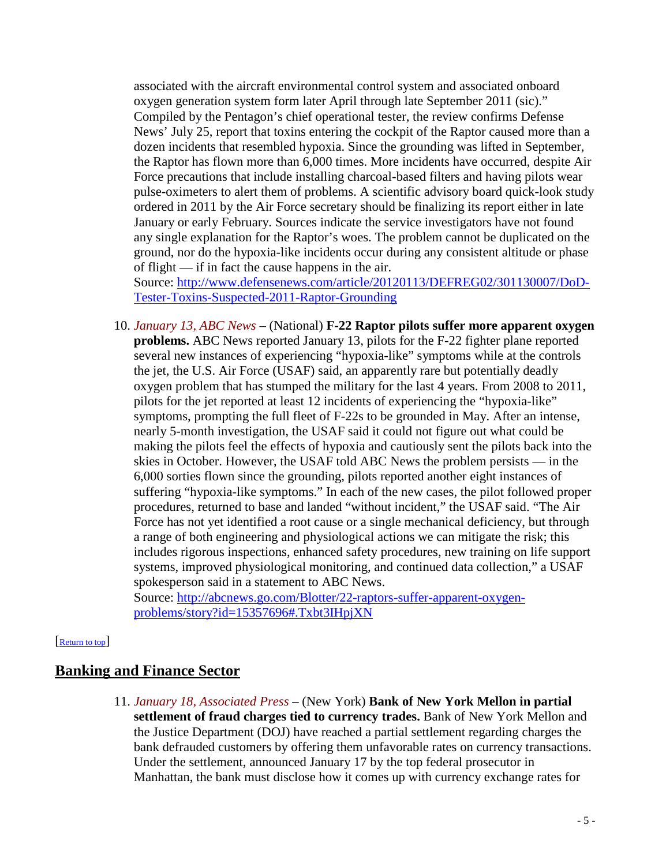associated with the aircraft environmental control system and associated onboard oxygen generation system form later April through late September 2011 (sic)." Compiled by the Pentagon's chief operational tester, the review confirms Defense News' July 25, report that toxins entering the cockpit of the Raptor caused more than a dozen incidents that resembled hypoxia. Since the grounding was lifted in September, the Raptor has flown more than 6,000 times. More incidents have occurred, despite Air Force precautions that include installing charcoal-based filters and having pilots wear pulse-oximeters to alert them of problems. A scientific advisory board quick-look study ordered in 2011 by the Air Force secretary should be finalizing its report either in late January or early February. Sources indicate the service investigators have not found any single explanation for the Raptor's woes. The problem cannot be duplicated on the ground, nor do the hypoxia-like incidents occur during any consistent altitude or phase of flight — if in fact the cause happens in the air.

Source: [http://www.defensenews.com/article/20120113/DEFREG02/301130007/DoD-](http://www.defensenews.com/article/20120113/DEFREG02/301130007/DoD-Tester-Toxins-Suspected-2011-Raptor-Grounding)[Tester-Toxins-Suspected-2011-Raptor-Grounding](http://www.defensenews.com/article/20120113/DEFREG02/301130007/DoD-Tester-Toxins-Suspected-2011-Raptor-Grounding)

10. *January 13, ABC News* – (National) **F-22 Raptor pilots suffer more apparent oxygen problems.** ABC News reported January 13, pilots for the F-22 fighter plane reported several new instances of experiencing "hypoxia-like" symptoms while at the controls the jet, the U.S. Air Force (USAF) said, an apparently rare but potentially deadly oxygen problem that has stumped the military for the last 4 years. From 2008 to 2011, pilots for the jet reported at least 12 incidents of experiencing the "hypoxia-like" symptoms, prompting the full fleet of F-22s to be grounded in May. After an intense, nearly 5-month investigation, the USAF said it could not figure out what could be making the pilots feel the effects of hypoxia and cautiously sent the pilots back into the skies in October. However, the USAF told ABC News the problem persists — in the 6,000 sorties flown since the grounding, pilots reported another eight instances of suffering "hypoxia-like symptoms." In each of the new cases, the pilot followed proper procedures, returned to base and landed "without incident," the USAF said. "The Air Force has not yet identified a root cause or a single mechanical deficiency, but through a range of both engineering and physiological actions we can mitigate the risk; this includes rigorous inspections, enhanced safety procedures, new training on life support systems, improved physiological monitoring, and continued data collection," a USAF spokesperson said in a statement to ABC News.

<span id="page-4-0"></span>Source: [http://abcnews.go.com/Blotter/22-raptors-suffer-apparent-oxygen](http://abcnews.go.com/Blotter/22-raptors-suffer-apparent-oxygen-problems/story?id=15357696#.Txbt3IHpjXN)[problems/story?id=15357696#.Txbt3IHpjXN](http://abcnews.go.com/Blotter/22-raptors-suffer-apparent-oxygen-problems/story?id=15357696#.Txbt3IHpjXN)

#### [\[Return to top\]](#page-0-1)

# **Banking and Finance Sector**

11. *January 18, Associated Press* – (New York) **Bank of New York Mellon in partial settlement of fraud charges tied to currency trades.** Bank of New York Mellon and the Justice Department (DOJ) have reached a partial settlement regarding charges the bank defrauded customers by offering them unfavorable rates on currency transactions. Under the settlement, announced January 17 by the top federal prosecutor in Manhattan, the bank must disclose how it comes up with currency exchange rates for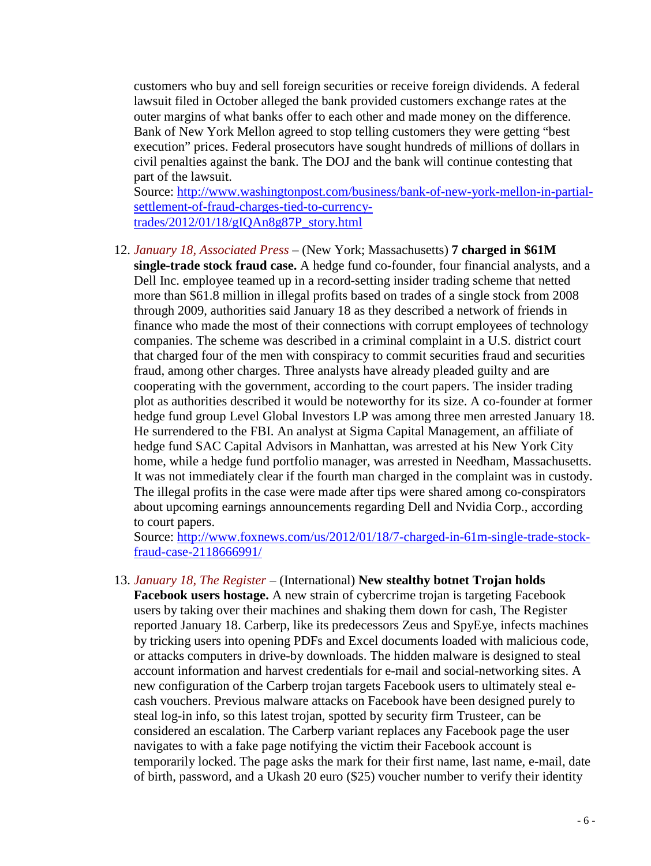customers who buy and sell foreign securities or receive foreign dividends. A federal lawsuit filed in October alleged the bank provided customers exchange rates at the outer margins of what banks offer to each other and made money on the difference. Bank of New York Mellon agreed to stop telling customers they were getting "best execution" prices. Federal prosecutors have sought hundreds of millions of dollars in civil penalties against the bank. The DOJ and the bank will continue contesting that part of the lawsuit.

Source: [http://www.washingtonpost.com/business/bank-of-new-york-mellon-in-partial](http://www.washingtonpost.com/business/bank-of-new-york-mellon-in-partial-settlement-of-fraud-charges-tied-to-currency-trades/2012/01/18/gIQAn8g87P_story.html)[settlement-of-fraud-charges-tied-to-currency](http://www.washingtonpost.com/business/bank-of-new-york-mellon-in-partial-settlement-of-fraud-charges-tied-to-currency-trades/2012/01/18/gIQAn8g87P_story.html)[trades/2012/01/18/gIQAn8g87P\\_story.html](http://www.washingtonpost.com/business/bank-of-new-york-mellon-in-partial-settlement-of-fraud-charges-tied-to-currency-trades/2012/01/18/gIQAn8g87P_story.html)

<span id="page-5-0"></span>12. *January 18, Associated Press* – (New York; Massachusetts) **7 charged in \$61M single-trade stock fraud case.** A hedge fund co-founder, four financial analysts, and a Dell Inc. employee teamed up in a record-setting insider trading scheme that netted more than \$61.8 million in illegal profits based on trades of a single stock from 2008 through 2009, authorities said January 18 as they described a network of friends in finance who made the most of their connections with corrupt employees of technology companies. The scheme was described in a criminal complaint in a U.S. district court that charged four of the men with conspiracy to commit securities fraud and securities fraud, among other charges. Three analysts have already pleaded guilty and are cooperating with the government, according to the court papers. The insider trading plot as authorities described it would be noteworthy for its size. A co-founder at former hedge fund group Level Global Investors LP was among three men arrested January 18. He surrendered to the FBI. An analyst at Sigma Capital Management, an affiliate of hedge fund SAC Capital Advisors in Manhattan, was arrested at his New York City home, while a hedge fund portfolio manager, was arrested in Needham, Massachusetts. It was not immediately clear if the fourth man charged in the complaint was in custody. The illegal profits in the case were made after tips were shared among co-conspirators about upcoming earnings announcements regarding Dell and Nvidia Corp., according to court papers.

Source: [http://www.foxnews.com/us/2012/01/18/7-charged-in-61m-single-trade-stock](http://www.foxnews.com/us/2012/01/18/7-charged-in-61m-single-trade-stock-fraud-case-2118666991/)[fraud-case-2118666991/](http://www.foxnews.com/us/2012/01/18/7-charged-in-61m-single-trade-stock-fraud-case-2118666991/)

#### <span id="page-5-1"></span>13. *January 18, The Register* – (International) **New stealthy botnet Trojan holds**

**Facebook users hostage.** A new strain of cybercrime trojan is targeting Facebook users by taking over their machines and shaking them down for cash, The Register reported January 18. Carberp, like its predecessors Zeus and SpyEye, infects machines by tricking users into opening PDFs and Excel documents loaded with malicious code, or attacks computers in drive-by downloads. The hidden malware is designed to steal account information and harvest credentials for e-mail and social-networking sites. A new configuration of the Carberp trojan targets Facebook users to ultimately steal ecash vouchers. Previous malware attacks on Facebook have been designed purely to steal log-in info, so this latest trojan, spotted by security firm Trusteer, can be considered an escalation. The Carberp variant replaces any Facebook page the user navigates to with a fake page notifying the victim their Facebook account is temporarily locked. The page asks the mark for their first name, last name, e-mail, date of birth, password, and a Ukash 20 euro (\$25) voucher number to verify their identity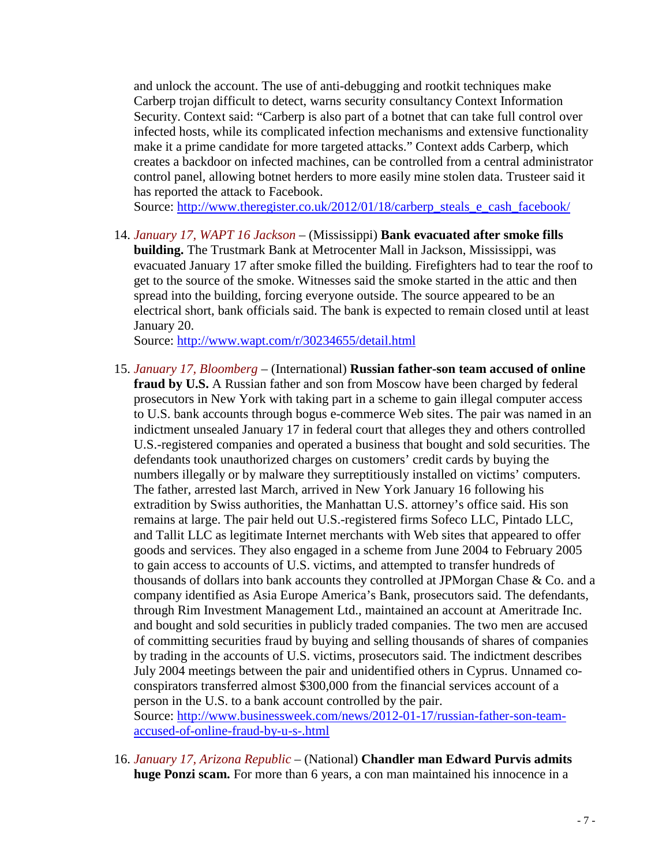and unlock the account. The use of anti-debugging and rootkit techniques make Carberp trojan difficult to detect, warns security consultancy Context Information Security. Context said: "Carberp is also part of a botnet that can take full control over infected hosts, while its complicated infection mechanisms and extensive functionality make it a prime candidate for more targeted attacks." Context adds Carberp, which creates a backdoor on infected machines, can be controlled from a central administrator control panel, allowing botnet herders to more easily mine stolen data. Trusteer said it has reported the attack to Facebook.

Source: [http://www.theregister.co.uk/2012/01/18/carberp\\_steals\\_e\\_cash\\_facebook/](http://www.theregister.co.uk/2012/01/18/carberp_steals_e_cash_facebook/)

14. *January 17, WAPT 16 Jackson* – (Mississippi) **Bank evacuated after smoke fills building.** The Trustmark Bank at Metrocenter Mall in Jackson, Mississippi, was evacuated January 17 after smoke filled the building. Firefighters had to tear the roof to get to the source of the smoke. Witnesses said the smoke started in the attic and then spread into the building, forcing everyone outside. The source appeared to be an electrical short, bank officials said. The bank is expected to remain closed until at least January 20.

Source:<http://www.wapt.com/r/30234655/detail.html>

- <span id="page-6-0"></span>15. *January 17, Bloomberg* – (International) **Russian father-son team accused of online fraud by U.S.** A Russian father and son from Moscow have been charged by federal prosecutors in New York with taking part in a scheme to gain illegal computer access to U.S. bank accounts through bogus e-commerce Web sites. The pair was named in an indictment unsealed January 17 in federal court that alleges they and others controlled U.S.-registered companies and operated a business that bought and sold securities. The defendants took unauthorized charges on customers' credit cards by buying the numbers illegally or by malware they surreptitiously installed on victims' computers. The father, arrested last March, arrived in New York January 16 following his extradition by Swiss authorities, the Manhattan U.S. attorney's office said. His son remains at large. The pair held out U.S.-registered firms Sofeco LLC, Pintado LLC, and Tallit LLC as legitimate Internet merchants with Web sites that appeared to offer goods and services. They also engaged in a scheme from June 2004 to February 2005 to gain access to accounts of U.S. victims, and attempted to transfer hundreds of thousands of dollars into bank accounts they controlled at JPMorgan Chase & Co. and a company identified as Asia Europe America's Bank, prosecutors said. The defendants, through Rim Investment Management Ltd., maintained an account at Ameritrade Inc. and bought and sold securities in publicly traded companies. The two men are accused of committing securities fraud by buying and selling thousands of shares of companies by trading in the accounts of U.S. victims, prosecutors said. The indictment describes July 2004 meetings between the pair and unidentified others in Cyprus. Unnamed coconspirators transferred almost \$300,000 from the financial services account of a person in the U.S. to a bank account controlled by the pair. Source: [http://www.businessweek.com/news/2012-01-17/russian-father-son-team](http://www.businessweek.com/news/2012-01-17/russian-father-son-team-accused-of-online-fraud-by-u-s-.html)[accused-of-online-fraud-by-u-s-.html](http://www.businessweek.com/news/2012-01-17/russian-father-son-team-accused-of-online-fraud-by-u-s-.html)
- 16. *January 17, Arizona Republic* (National) **Chandler man Edward Purvis admits huge Ponzi scam.** For more than 6 years, a con man maintained his innocence in a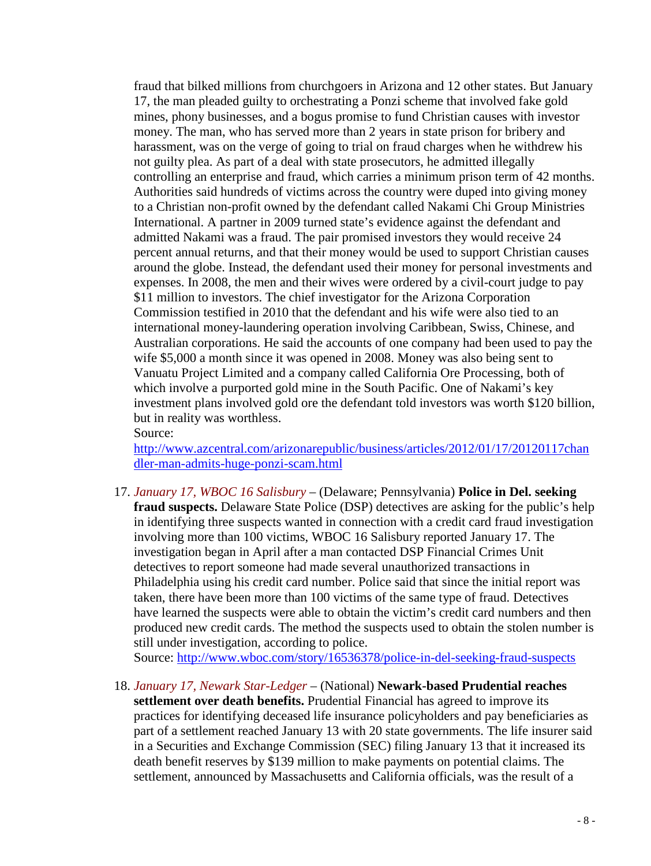fraud that bilked millions from churchgoers in Arizona and 12 other states. But January 17, the man pleaded guilty to orchestrating a Ponzi scheme that involved fake gold mines, phony businesses, and a bogus promise to fund Christian causes with investor money. The man, who has served more than 2 years in state prison for bribery and harassment, was on the verge of going to trial on fraud charges when he withdrew his not guilty plea. As part of a deal with state prosecutors, he admitted illegally controlling an enterprise and fraud, which carries a minimum prison term of 42 months. Authorities said hundreds of victims across the country were duped into giving money to a Christian non-profit owned by the defendant called Nakami Chi Group Ministries International. A partner in 2009 turned state's evidence against the defendant and admitted Nakami was a fraud. The pair promised investors they would receive 24 percent annual returns, and that their money would be used to support Christian causes around the globe. Instead, the defendant used their money for personal investments and expenses. In 2008, the men and their wives were ordered by a civil-court judge to pay \$11 million to investors. The chief investigator for the Arizona Corporation Commission testified in 2010 that the defendant and his wife were also tied to an international money-laundering operation involving Caribbean, Swiss, Chinese, and Australian corporations. He said the accounts of one company had been used to pay the wife \$5,000 a month since it was opened in 2008. Money was also being sent to Vanuatu Project Limited and a company called California Ore Processing, both of which involve a purported gold mine in the South Pacific. One of Nakami's key investment plans involved gold ore the defendant told investors was worth \$120 billion, but in reality was worthless.

Source: [http://www.azcentral.com/arizonarepublic/business/articles/2012/01/17/20120117chan](http://www.azcentral.com/arizonarepublic/business/articles/2012/01/17/20120117chandler-man-admits-huge-ponzi-scam.html) [dler-man-admits-huge-ponzi-scam.html](http://www.azcentral.com/arizonarepublic/business/articles/2012/01/17/20120117chandler-man-admits-huge-ponzi-scam.html)

17. *January 17, WBOC 16 Salisbury* – (Delaware; Pennsylvania) **Police in Del. seeking fraud suspects.** Delaware State Police (DSP) detectives are asking for the public's help in identifying three suspects wanted in connection with a credit card fraud investigation involving more than 100 victims, WBOC 16 Salisbury reported January 17. The investigation began in April after a man contacted DSP Financial Crimes Unit detectives to report someone had made several unauthorized transactions in Philadelphia using his credit card number. Police said that since the initial report was taken, there have been more than 100 victims of the same type of fraud. Detectives have learned the suspects were able to obtain the victim's credit card numbers and then produced new credit cards. The method the suspects used to obtain the stolen number is still under investigation, according to police.

Source:<http://www.wboc.com/story/16536378/police-in-del-seeking-fraud-suspects>

18. *January 17, Newark Star-Ledger* – (National) **Newark-based Prudential reaches settlement over death benefits.** Prudential Financial has agreed to improve its practices for identifying deceased life insurance policyholders and pay beneficiaries as part of a settlement reached January 13 with 20 state governments. The life insurer said in a Securities and Exchange Commission (SEC) filing January 13 that it increased its death benefit reserves by \$139 million to make payments on potential claims. The settlement, announced by Massachusetts and California officials, was the result of a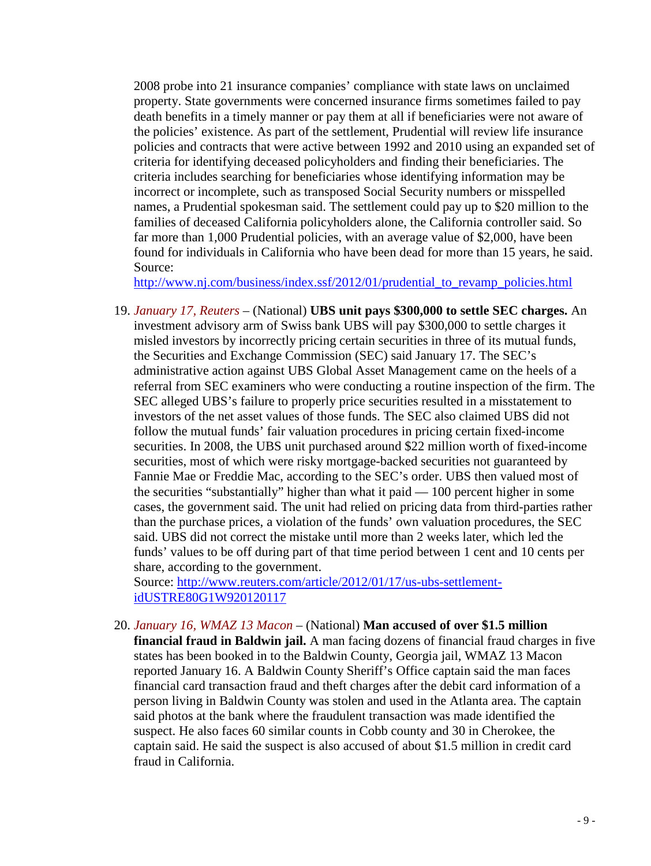2008 probe into 21 insurance companies' compliance with state laws on unclaimed property. State governments were concerned insurance firms sometimes failed to pay death benefits in a timely manner or pay them at all if beneficiaries were not aware of the policies' existence. As part of the settlement, Prudential will review life insurance policies and contracts that were active between 1992 and 2010 using an expanded set of criteria for identifying deceased policyholders and finding their beneficiaries. The criteria includes searching for beneficiaries whose identifying information may be incorrect or incomplete, such as transposed Social Security numbers or misspelled names, a Prudential spokesman said. The settlement could pay up to \$20 million to the families of deceased California policyholders alone, the California controller said. So far more than 1,000 Prudential policies, with an average value of \$2,000, have been found for individuals in California who have been dead for more than 15 years, he said. Source:

[http://www.nj.com/business/index.ssf/2012/01/prudential\\_to\\_revamp\\_policies.html](http://www.nj.com/business/index.ssf/2012/01/prudential_to_revamp_policies.html)

19. *January 17, Reuters* – (National) **UBS unit pays \$300,000 to settle SEC charges.** An investment advisory arm of Swiss bank UBS will pay \$300,000 to settle charges it misled investors by incorrectly pricing certain securities in three of its mutual funds, the Securities and Exchange Commission (SEC) said January 17. The SEC's administrative action against UBS Global Asset Management came on the heels of a referral from SEC examiners who were conducting a routine inspection of the firm. The SEC alleged UBS's failure to properly price securities resulted in a misstatement to investors of the net asset values of those funds. The SEC also claimed UBS did not follow the mutual funds' fair valuation procedures in pricing certain fixed-income securities. In 2008, the UBS unit purchased around \$22 million worth of fixed-income securities, most of which were risky mortgage-backed securities not guaranteed by Fannie Mae or Freddie Mac, according to the SEC's order. UBS then valued most of the securities "substantially" higher than what it paid — 100 percent higher in some cases, the government said. The unit had relied on pricing data from third-parties rather than the purchase prices, a violation of the funds' own valuation procedures, the SEC said. UBS did not correct the mistake until more than 2 weeks later, which led the funds' values to be off during part of that time period between 1 cent and 10 cents per share, according to the government.

Source: [http://www.reuters.com/article/2012/01/17/us-ubs-settlement](http://www.reuters.com/article/2012/01/17/us-ubs-settlement-idUSTRE80G1W920120117)[idUSTRE80G1W920120117](http://www.reuters.com/article/2012/01/17/us-ubs-settlement-idUSTRE80G1W920120117)

20. *January 16, WMAZ 13 Macon* – (National) **Man accused of over \$1.5 million financial fraud in Baldwin jail.** A man facing dozens of financial fraud charges in five states has been booked in to the Baldwin County, Georgia jail, WMAZ 13 Macon reported January 16. A Baldwin County Sheriff's Office captain said the man faces financial card transaction fraud and theft charges after the debit card information of a person living in Baldwin County was stolen and used in the Atlanta area. The captain said photos at the bank where the fraudulent transaction was made identified the suspect. He also faces 60 similar counts in Cobb county and 30 in Cherokee, the captain said. He said the suspect is also accused of about \$1.5 million in credit card fraud in California.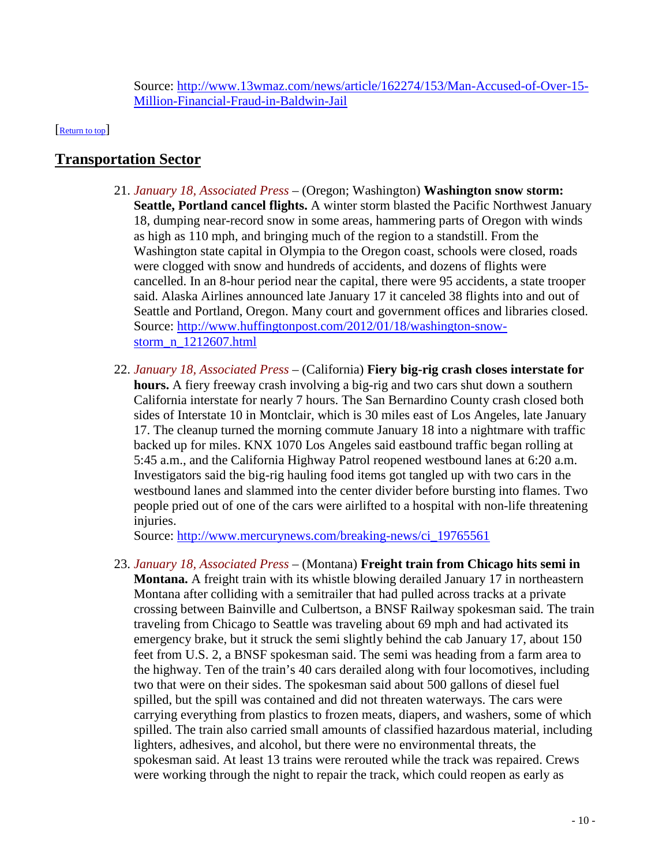<span id="page-9-0"></span>Source: [http://www.13wmaz.com/news/article/162274/153/Man-Accused-of-Over-15-](http://www.13wmaz.com/news/article/162274/153/Man-Accused-of-Over-15-Million-Financial-Fraud-in-Baldwin-Jail) [Million-Financial-Fraud-in-Baldwin-Jail](http://www.13wmaz.com/news/article/162274/153/Man-Accused-of-Over-15-Million-Financial-Fraud-in-Baldwin-Jail)

[\[Return to top\]](#page-0-1) 

# <span id="page-9-1"></span>**Transportation Sector**

- 21. *January 18, Associated Press* (Oregon; Washington) **Washington snow storm: Seattle, Portland cancel flights.** A winter storm blasted the Pacific Northwest January 18, dumping near-record snow in some areas, hammering parts of Oregon with winds as high as 110 mph, and bringing much of the region to a standstill. From the Washington state capital in Olympia to the Oregon coast, schools were closed, roads were clogged with snow and hundreds of accidents, and dozens of flights were cancelled. In an 8-hour period near the capital, there were 95 accidents, a state trooper said. Alaska Airlines announced late January 17 it canceled 38 flights into and out of Seattle and Portland, Oregon. Many court and government offices and libraries closed. Source: [http://www.huffingtonpost.com/2012/01/18/washington-snow](http://www.huffingtonpost.com/2012/01/18/washington-snow-storm_n_1212607.html)[storm\\_n\\_1212607.html](http://www.huffingtonpost.com/2012/01/18/washington-snow-storm_n_1212607.html)
- 22. *January 18, Associated Press* (California) **Fiery big-rig crash closes interstate for hours.** A fiery freeway crash involving a big-rig and two cars shut down a southern California interstate for nearly 7 hours. The San Bernardino County crash closed both sides of Interstate 10 in Montclair, which is 30 miles east of Los Angeles, late January 17. The cleanup turned the morning commute January 18 into a nightmare with traffic backed up for miles. KNX 1070 Los Angeles said eastbound traffic began rolling at 5:45 a.m., and the California Highway Patrol reopened westbound lanes at 6:20 a.m. Investigators said the big-rig hauling food items got tangled up with two cars in the westbound lanes and slammed into the center divider before bursting into flames. Two people pried out of one of the cars were airlifted to a hospital with non-life threatening injuries.

Source: [http://www.mercurynews.com/breaking-news/ci\\_19765561](http://www.mercurynews.com/breaking-news/ci_19765561)

23. *January 18, Associated Press* – (Montana) **Freight train from Chicago hits semi in** 

**Montana.** A freight train with its whistle blowing derailed January 17 in northeastern Montana after colliding with a semitrailer that had pulled across tracks at a private crossing between Bainville and Culbertson, a BNSF Railway spokesman said. The train traveling from Chicago to Seattle was traveling about 69 mph and had activated its emergency brake, but it struck the semi slightly behind the cab January 17, about 150 feet from U.S. 2, a BNSF spokesman said. The semi was heading from a farm area to the highway. Ten of the train's 40 cars derailed along with four locomotives, including two that were on their sides. The spokesman said about 500 gallons of diesel fuel spilled, but the spill was contained and did not threaten waterways. The cars were carrying everything from plastics to frozen meats, diapers, and washers, some of which spilled. The train also carried small amounts of classified hazardous material, including lighters, adhesives, and alcohol, but there were no environmental threats, the spokesman said. At least 13 trains were rerouted while the track was repaired. Crews were working through the night to repair the track, which could reopen as early as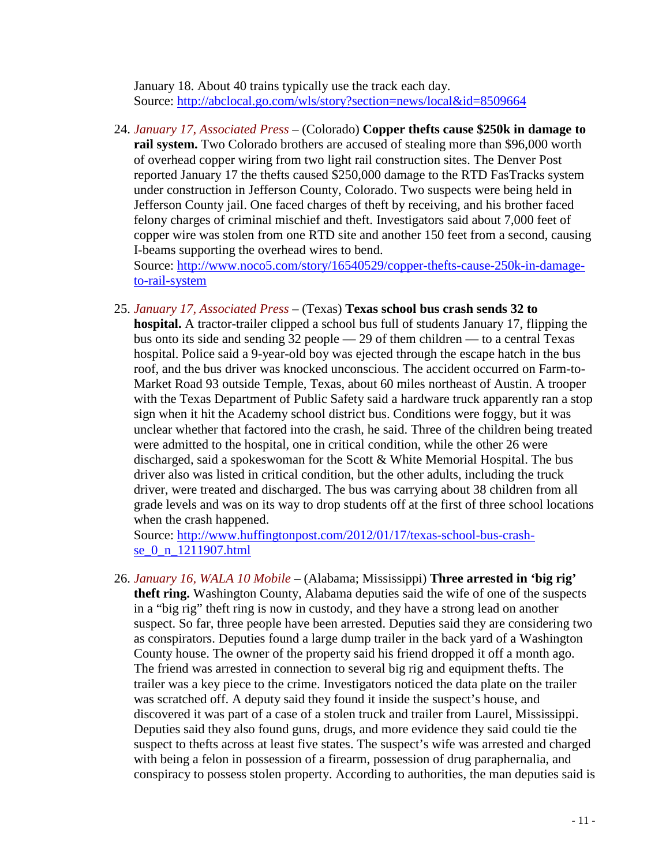January 18. About 40 trains typically use the track each day. Source:<http://abclocal.go.com/wls/story?section=news/local&id=8509664>

24. *January 17, Associated Press* – (Colorado) **Copper thefts cause \$250k in damage to rail system.** Two Colorado brothers are accused of stealing more than \$96,000 worth of overhead copper wiring from two light rail construction sites. The Denver Post reported January 17 the thefts caused \$250,000 damage to the RTD FasTracks system under construction in Jefferson County, Colorado. Two suspects were being held in Jefferson County jail. One faced charges of theft by receiving, and his brother faced felony charges of criminal mischief and theft. Investigators said about 7,000 feet of copper wire was stolen from one RTD site and another 150 feet from a second, causing I-beams supporting the overhead wires to bend.

Source: [http://www.noco5.com/story/16540529/copper-thefts-cause-250k-in-damage](http://www.noco5.com/story/16540529/copper-thefts-cause-250k-in-damage-to-rail-system)[to-rail-system](http://www.noco5.com/story/16540529/copper-thefts-cause-250k-in-damage-to-rail-system)

25. *January 17, Associated Press* – (Texas) **Texas school bus crash sends 32 to hospital.** A tractor-trailer clipped a school bus full of students January 17, flipping the bus onto its side and sending 32 people — 29 of them children — to a central Texas hospital. Police said a 9-year-old boy was ejected through the escape hatch in the bus roof, and the bus driver was knocked unconscious. The accident occurred on Farm-to-Market Road 93 outside Temple, Texas, about 60 miles northeast of Austin. A trooper with the Texas Department of Public Safety said a hardware truck apparently ran a stop sign when it hit the Academy school district bus. Conditions were foggy, but it was unclear whether that factored into the crash, he said. Three of the children being treated were admitted to the hospital, one in critical condition, while the other 26 were discharged, said a spokeswoman for the Scott & White Memorial Hospital. The bus driver also was listed in critical condition, but the other adults, including the truck driver, were treated and discharged. The bus was carrying about 38 children from all grade levels and was on its way to drop students off at the first of three school locations when the crash happened.

Source: [http://www.huffingtonpost.com/2012/01/17/texas-school-bus-crash](http://www.huffingtonpost.com/2012/01/17/texas-school-bus-crash-se_0_n_1211907.html)se 0\_n\_1211907.html

26. *January 16, WALA 10 Mobile* – (Alabama; Mississippi) **Three arrested in 'big rig' theft ring.** Washington County, Alabama deputies said the wife of one of the suspects in a "big rig" theft ring is now in custody, and they have a strong lead on another suspect. So far, three people have been arrested. Deputies said they are considering two as conspirators. Deputies found a large dump trailer in the back yard of a Washington County house. The owner of the property said his friend dropped it off a month ago. The friend was arrested in connection to several big rig and equipment thefts. The trailer was a key piece to the crime. Investigators noticed the data plate on the trailer was scratched off. A deputy said they found it inside the suspect's house, and discovered it was part of a case of a stolen truck and trailer from Laurel, Mississippi. Deputies said they also found guns, drugs, and more evidence they said could tie the suspect to thefts across at least five states. The suspect's wife was arrested and charged with being a felon in possession of a firearm, possession of drug paraphernalia, and conspiracy to possess stolen property. According to authorities, the man deputies said is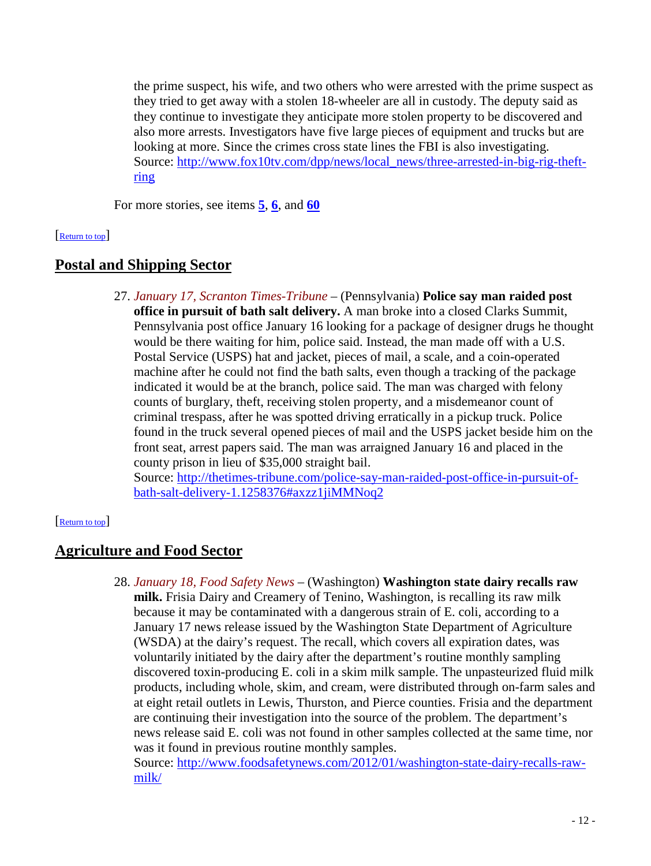the prime suspect, his wife, and two others who were arrested with the prime suspect as they tried to get away with a stolen 18-wheeler are all in custody. The deputy said as they continue to investigate they anticipate more stolen property to be discovered and also more arrests. Investigators have five large pieces of equipment and trucks but are looking at more. Since the crimes cross state lines the FBI is also investigating. Source: [http://www.fox10tv.com/dpp/news/local\\_news/three-arrested-in-big-rig-theft](http://www.fox10tv.com/dpp/news/local_news/three-arrested-in-big-rig-theft-ring)[ring](http://www.fox10tv.com/dpp/news/local_news/three-arrested-in-big-rig-theft-ring)

<span id="page-11-0"></span>For more stories, see items **[5](#page-2-1)**, **[6](#page-2-2)**, and **[60](#page-22-1)**

#### [\[Return to top\]](#page-0-1)

# **Postal and Shipping Sector**

27. *January 17, Scranton Times-Tribune* – (Pennsylvania) **Police say man raided post office in pursuit of bath salt delivery.** A man broke into a closed Clarks Summit, Pennsylvania post office January 16 looking for a package of designer drugs he thought would be there waiting for him, police said. Instead, the man made off with a U.S. Postal Service (USPS) hat and jacket, pieces of mail, a scale, and a coin-operated machine after he could not find the bath salts, even though a tracking of the package indicated it would be at the branch, police said. The man was charged with felony counts of burglary, theft, receiving stolen property, and a misdemeanor count of criminal trespass, after he was spotted driving erratically in a pickup truck. Police found in the truck several opened pieces of mail and the USPS jacket beside him on the front seat, arrest papers said. The man was arraigned January 16 and placed in the county prison in lieu of \$35,000 straight bail.

<span id="page-11-1"></span>Source: [http://thetimes-tribune.com/police-say-man-raided-post-office-in-pursuit-of](http://thetimes-tribune.com/police-say-man-raided-post-office-in-pursuit-of-bath-salt-delivery-1.1258376#axzz1jiMMNoq2)[bath-salt-delivery-1.1258376#axzz1jiMMNoq2](http://thetimes-tribune.com/police-say-man-raided-post-office-in-pursuit-of-bath-salt-delivery-1.1258376#axzz1jiMMNoq2)

#### [\[Return to top\]](#page-0-1)

# **Agriculture and Food Sector**

28. *January 18, Food Safety News* – (Washington) **Washington state dairy recalls raw milk.** Frisia Dairy and Creamery of Tenino, Washington, is recalling its raw milk because it may be contaminated with a dangerous strain of E. coli, according to a January 17 news release issued by the Washington State Department of Agriculture (WSDA) at the dairy's request. The recall, which covers all expiration dates, was voluntarily initiated by the dairy after the department's routine monthly sampling discovered toxin-producing E. coli in a skim milk sample. The unpasteurized fluid milk products, including whole, skim, and cream, were distributed through on-farm sales and at eight retail outlets in Lewis, Thurston, and Pierce counties. Frisia and the department are continuing their investigation into the source of the problem. The department's news release said E. coli was not found in other samples collected at the same time, nor was it found in previous routine monthly samples.

Source: [http://www.foodsafetynews.com/2012/01/washington-state-dairy-recalls-raw](http://www.foodsafetynews.com/2012/01/washington-state-dairy-recalls-raw-milk/)[milk/](http://www.foodsafetynews.com/2012/01/washington-state-dairy-recalls-raw-milk/)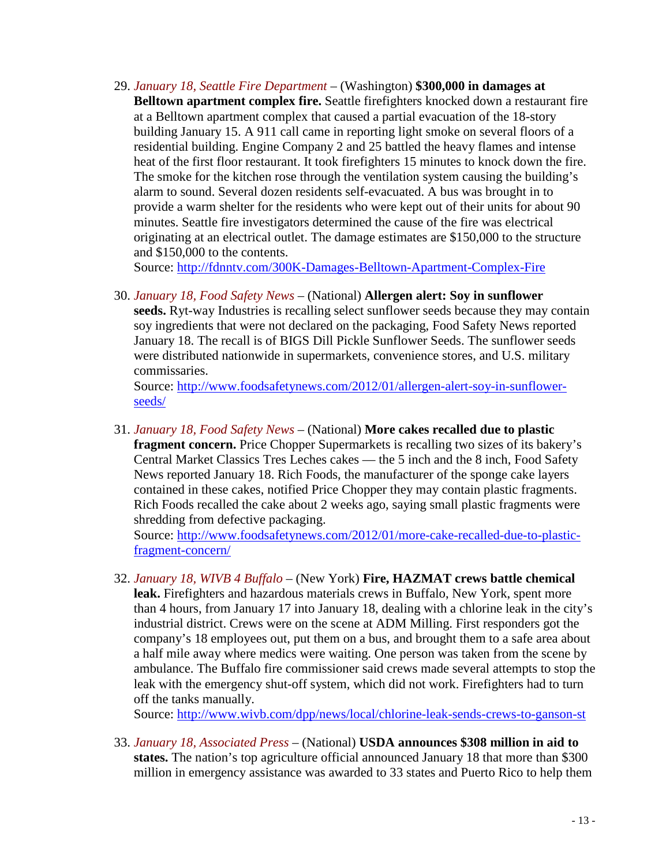<span id="page-12-2"></span>29. *January 18, Seattle Fire Department* – (Washington) **\$300,000 in damages at Belltown apartment complex fire.** Seattle firefighters knocked down a restaurant fire at a Belltown apartment complex that caused a partial evacuation of the 18-story building January 15. A 911 call came in reporting light smoke on several floors of a residential building. Engine Company 2 and 25 battled the heavy flames and intense heat of the first floor restaurant. It took firefighters 15 minutes to knock down the fire. The smoke for the kitchen rose through the ventilation system causing the building's alarm to sound. Several dozen residents self-evacuated. A bus was brought in to provide a warm shelter for the residents who were kept out of their units for about 90 minutes. Seattle fire investigators determined the cause of the fire was electrical originating at an electrical outlet. The damage estimates are \$150,000 to the structure and \$150,000 to the contents.

Source:<http://fdnntv.com/300K-Damages-Belltown-Apartment-Complex-Fire>

<span id="page-12-1"></span>30. *January 18, Food Safety News* – (National) **Allergen alert: Soy in sunflower seeds.** Ryt-way Industries is recalling select sunflower seeds because they may contain soy ingredients that were not declared on the packaging, Food Safety News reported January 18. The recall is of BIGS Dill Pickle Sunflower Seeds. The sunflower seeds were distributed nationwide in supermarkets, convenience stores, and U.S. military commissaries.

Source: [http://www.foodsafetynews.com/2012/01/allergen-alert-soy-in-sunflower](http://www.foodsafetynews.com/2012/01/allergen-alert-soy-in-sunflower-seeds/)[seeds/](http://www.foodsafetynews.com/2012/01/allergen-alert-soy-in-sunflower-seeds/)

31. *January 18, Food Safety News* – (National) **More cakes recalled due to plastic fragment concern.** Price Chopper Supermarkets is recalling two sizes of its bakery's Central Market Classics Tres Leches cakes — the 5 inch and the 8 inch, Food Safety News reported January 18. Rich Foods, the manufacturer of the sponge cake layers contained in these cakes, notified Price Chopper they may contain plastic fragments. Rich Foods recalled the cake about 2 weeks ago, saying small plastic fragments were shredding from defective packaging.

Source: [http://www.foodsafetynews.com/2012/01/more-cake-recalled-due-to-plastic](http://www.foodsafetynews.com/2012/01/more-cake-recalled-due-to-plastic-fragment-concern/)[fragment-concern/](http://www.foodsafetynews.com/2012/01/more-cake-recalled-due-to-plastic-fragment-concern/)

<span id="page-12-0"></span>32. *January 18, WIVB 4 Buffalo* – (New York) **Fire, HAZMAT crews battle chemical leak.** Firefighters and hazardous materials crews in Buffalo, New York, spent more than 4 hours, from January 17 into January 18, dealing with a chlorine leak in the city's industrial district. Crews were on the scene at ADM Milling. First responders got the company's 18 employees out, put them on a bus, and brought them to a safe area about a half mile away where medics were waiting. One person was taken from the scene by ambulance. The Buffalo fire commissioner said crews made several attempts to stop the leak with the emergency shut-off system, which did not work. Firefighters had to turn off the tanks manually.

Source:<http://www.wivb.com/dpp/news/local/chlorine-leak-sends-crews-to-ganson-st>

<span id="page-12-3"></span>33. *January 18, Associated Press* – (National) **USDA announces \$308 million in aid to states.** The nation's top agriculture official announced January 18 that more than \$300 million in emergency assistance was awarded to 33 states and Puerto Rico to help them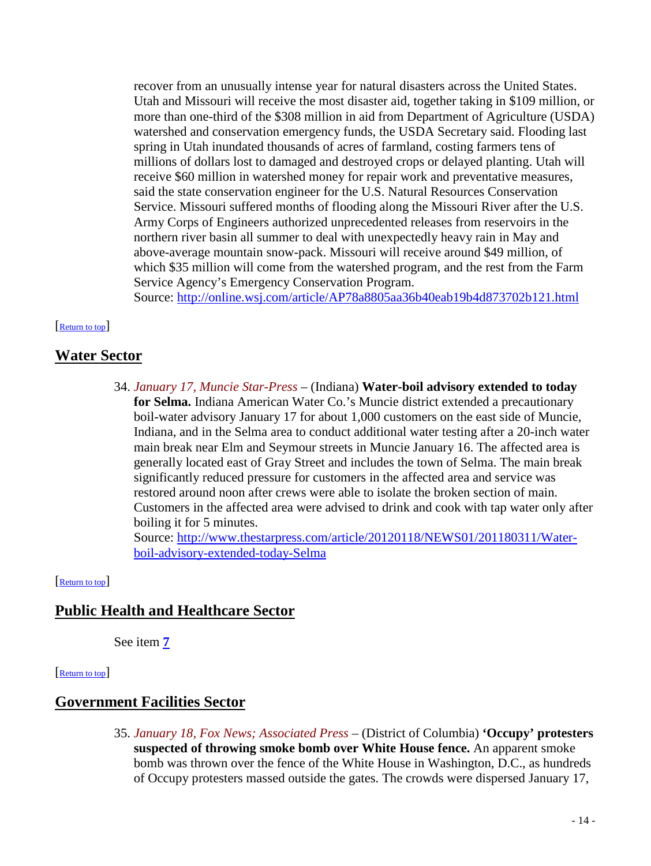recover from an unusually intense year for natural disasters across the United States. Utah and Missouri will receive the most disaster aid, together taking in \$109 million, or more than one-third of the \$308 million in aid from Department of Agriculture (USDA) watershed and conservation emergency funds, the USDA Secretary said. Flooding last spring in Utah inundated thousands of acres of farmland, costing farmers tens of millions of dollars lost to damaged and destroyed crops or delayed planting. Utah will receive \$60 million in watershed money for repair work and preventative measures, said the state conservation engineer for the U.S. Natural Resources Conservation Service. Missouri suffered months of flooding along the Missouri River after the U.S. Army Corps of Engineers authorized unprecedented releases from reservoirs in the northern river basin all summer to deal with unexpectedly heavy rain in May and above-average mountain snow-pack. Missouri will receive around \$49 million, of which \$35 million will come from the watershed program, and the rest from the Farm Service Agency's Emergency Conservation Program.

<span id="page-13-1"></span>Source:<http://online.wsj.com/article/AP78a8805aa36b40eab19b4d873702b121.html>

#### [\[Return to top\]](#page-0-1)

# **Water Sector**

34. *January 17, Muncie Star-Press* – (Indiana) **Water-boil advisory extended to today for Selma.** Indiana American Water Co.'s Muncie district extended a precautionary boil-water advisory January 17 for about 1,000 customers on the east side of Muncie, Indiana, and in the Selma area to conduct additional water testing after a 20-inch water main break near Elm and Seymour streets in Muncie January 16. The affected area is generally located east of Gray Street and includes the town of Selma. The main break significantly reduced pressure for customers in the affected area and service was restored around noon after crews were able to isolate the broken section of main. Customers in the affected area were advised to drink and cook with tap water only after boiling it for 5 minutes.

<span id="page-13-2"></span>Source: [http://www.thestarpress.com/article/20120118/NEWS01/201180311/Water](http://www.thestarpress.com/article/20120118/NEWS01/201180311/Water-boil-advisory-extended-today-Selma)[boil-advisory-extended-today-Selma](http://www.thestarpress.com/article/20120118/NEWS01/201180311/Water-boil-advisory-extended-today-Selma)

#### [\[Return to top\]](#page-0-1)

# **Public Health and Healthcare Sector**

<span id="page-13-0"></span>See item **[7](#page-2-3)**

#### [\[Return to top\]](#page-0-1)

# **Government Facilities Sector**

35. *January 18, Fox News; Associated Press* – (District of Columbia) **'Occupy' protesters suspected of throwing smoke bomb over White House fence.** An apparent smoke bomb was thrown over the fence of the White House in Washington, D.C., as hundreds of Occupy protesters massed outside the gates. The crowds were dispersed January 17,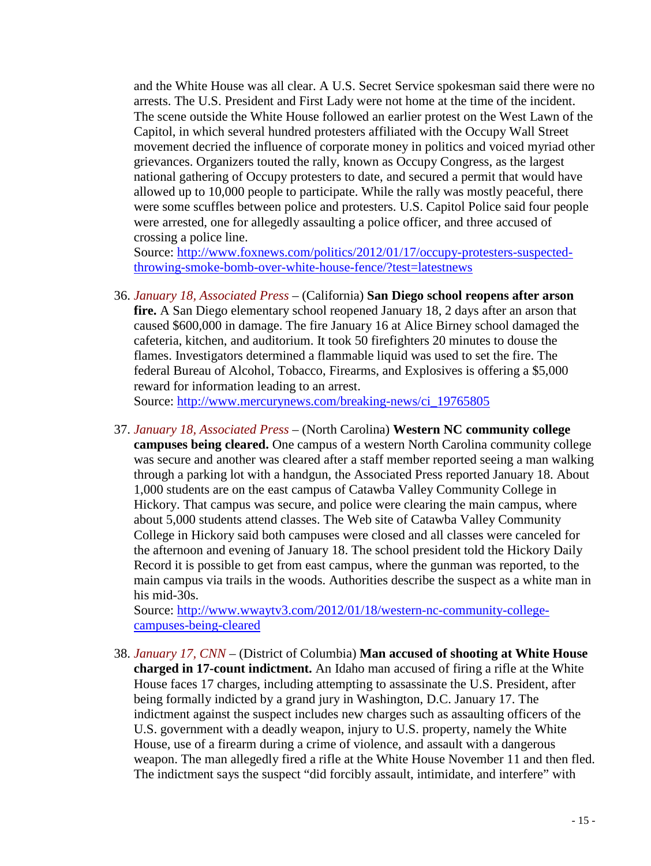and the White House was all clear. A U.S. Secret Service spokesman said there were no arrests. The U.S. President and First Lady were not home at the time of the incident. The scene outside the White House followed an earlier protest on the West Lawn of the Capitol, in which several hundred protesters affiliated with the Occupy Wall Street movement decried the influence of corporate money in politics and voiced myriad other grievances. Organizers touted the rally, known as Occupy Congress, as the largest national gathering of Occupy protesters to date, and secured a permit that would have allowed up to 10,000 people to participate. While the rally was mostly peaceful, there were some scuffles between police and protesters. U.S. Capitol Police said four people were arrested, one for allegedly assaulting a police officer, and three accused of crossing a police line.

Source: [http://www.foxnews.com/politics/2012/01/17/occupy-protesters-suspected](http://www.foxnews.com/politics/2012/01/17/occupy-protesters-suspected-throwing-smoke-bomb-over-white-house-fence/?test=latestnews)[throwing-smoke-bomb-over-white-house-fence/?test=latestnews](http://www.foxnews.com/politics/2012/01/17/occupy-protesters-suspected-throwing-smoke-bomb-over-white-house-fence/?test=latestnews)

36. *January 18, Associated Press* – (California) **San Diego school reopens after arson fire.** A San Diego elementary school reopened January 18, 2 days after an arson that caused \$600,000 in damage. The fire January 16 at Alice Birney school damaged the cafeteria, kitchen, and auditorium. It took 50 firefighters 20 minutes to douse the flames. Investigators determined a flammable liquid was used to set the fire. The federal Bureau of Alcohol, Tobacco, Firearms, and Explosives is offering a \$5,000 reward for information leading to an arrest.

Source: [http://www.mercurynews.com/breaking-news/ci\\_19765805](http://www.mercurynews.com/breaking-news/ci_19765805)

37. *January 18, Associated Press* – (North Carolina) **Western NC community college campuses being cleared.** One campus of a western North Carolina community college was secure and another was cleared after a staff member reported seeing a man walking through a parking lot with a handgun, the Associated Press reported January 18. About 1,000 students are on the east campus of Catawba Valley Community College in Hickory. That campus was secure, and police were clearing the main campus, where about 5,000 students attend classes. The Web site of Catawba Valley Community College in Hickory said both campuses were closed and all classes were canceled for the afternoon and evening of January 18. The school president told the Hickory Daily Record it is possible to get from east campus, where the gunman was reported, to the main campus via trails in the woods. Authorities describe the suspect as a white man in his mid-30s.

Source: [http://www.wwaytv3.com/2012/01/18/western-nc-community-college](http://www.wwaytv3.com/2012/01/18/western-nc-community-college-campuses-being-cleared)[campuses-being-cleared](http://www.wwaytv3.com/2012/01/18/western-nc-community-college-campuses-being-cleared)

<span id="page-14-0"></span>38. *January 17, CNN* – (District of Columbia) **Man accused of shooting at White House charged in 17-count indictment.** An Idaho man accused of firing a rifle at the White House faces 17 charges, including attempting to assassinate the U.S. President, after being formally indicted by a grand jury in Washington, D.C. January 17. The indictment against the suspect includes new charges such as assaulting officers of the U.S. government with a deadly weapon, injury to U.S. property, namely the White House, use of a firearm during a crime of violence, and assault with a dangerous weapon. The man allegedly fired a rifle at the White House November 11 and then fled. The indictment says the suspect "did forcibly assault, intimidate, and interfere" with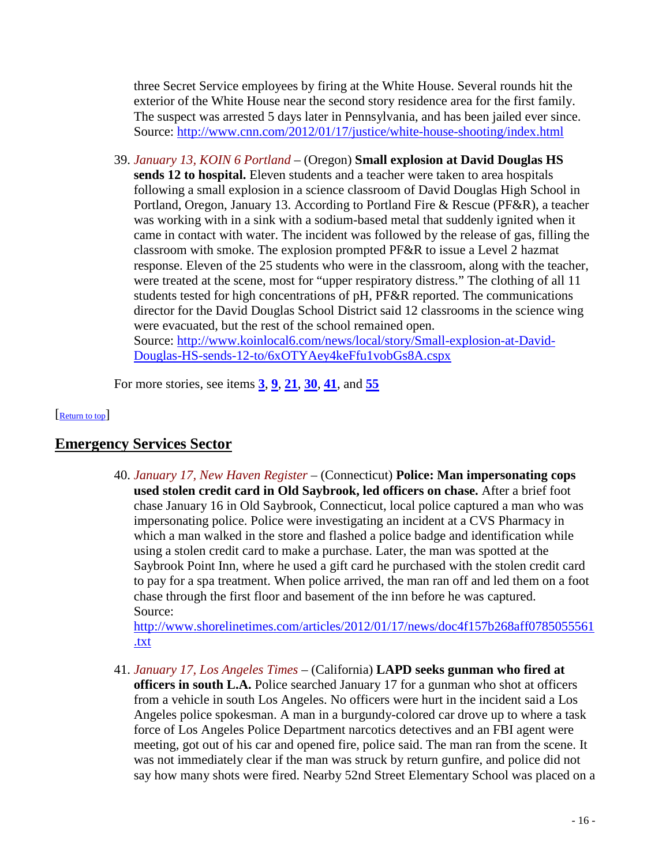three Secret Service employees by firing at the White House. Several rounds hit the exterior of the White House near the second story residence area for the first family. The suspect was arrested 5 days later in Pennsylvania, and has been jailed ever since. Source:<http://www.cnn.com/2012/01/17/justice/white-house-shooting/index.html>

39. *January 13, KOIN 6 Portland* – (Oregon) **Small explosion at David Douglas HS sends 12 to hospital.** Eleven students and a teacher were taken to area hospitals following a small explosion in a science classroom of David Douglas High School in Portland, Oregon, January 13. According to Portland Fire & Rescue (PF&R), a teacher was working with in a sink with a sodium-based metal that suddenly ignited when it came in contact with water. The incident was followed by the release of gas, filling the classroom with smoke. The explosion prompted PF&R to issue a Level 2 hazmat response. Eleven of the 25 students who were in the classroom, along with the teacher, were treated at the scene, most for "upper respiratory distress." The clothing of all 11 students tested for high concentrations of pH, PF&R reported. The communications director for the David Douglas School District said 12 classrooms in the science wing were evacuated, but the rest of the school remained open. Source: [http://www.koinlocal6.com/news/local/story/Small-explosion-at-David-](http://www.koinlocal6.com/news/local/story/Small-explosion-at-David-Douglas-HS-sends-12-to/6xOTYAey4keFfu1vobGs8A.cspx)[Douglas-HS-sends-12-to/6xOTYAey4keFfu1vobGs8A.cspx](http://www.koinlocal6.com/news/local/story/Small-explosion-at-David-Douglas-HS-sends-12-to/6xOTYAey4keFfu1vobGs8A.cspx)

<span id="page-15-0"></span>For more stories, see items **[3](#page-1-0)**, **[9](#page-3-3)**, **[21](#page-9-1)**, **[30](#page-12-1)**, **[41](#page-15-1)**, and **[55](#page-20-1)**

[\[Return to top\]](#page-0-1) 

# **Emergency Services Sector**

40. *January 17, New Haven Register* – (Connecticut) **Police: Man impersonating cops used stolen credit card in Old Saybrook, led officers on chase.** After a brief foot chase January 16 in Old Saybrook, Connecticut, local police captured a man who was impersonating police. Police were investigating an incident at a CVS Pharmacy in which a man walked in the store and flashed a police badge and identification while using a stolen credit card to make a purchase. Later, the man was spotted at the Saybrook Point Inn, where he used a gift card he purchased with the stolen credit card to pay for a spa treatment. When police arrived, the man ran off and led them on a foot chase through the first floor and basement of the inn before he was captured. Source:

[http://www.shorelinetimes.com/articles/2012/01/17/news/doc4f157b268aff0785055561](http://www.shorelinetimes.com/articles/2012/01/17/news/doc4f157b268aff0785055561.txt) [.txt](http://www.shorelinetimes.com/articles/2012/01/17/news/doc4f157b268aff0785055561.txt)

<span id="page-15-1"></span>41. *January 17, Los Angeles Times* – (California) **LAPD seeks gunman who fired at officers in south L.A.** Police searched January 17 for a gunman who shot at officers from a vehicle in south Los Angeles. No officers were hurt in the incident said a Los Angeles police spokesman. A man in a burgundy-colored car drove up to where a task force of Los Angeles Police Department narcotics detectives and an FBI agent were meeting, got out of his car and opened fire, police said. The man ran from the scene. It was not immediately clear if the man was struck by return gunfire, and police did not say how many shots were fired. Nearby 52nd Street Elementary School was placed on a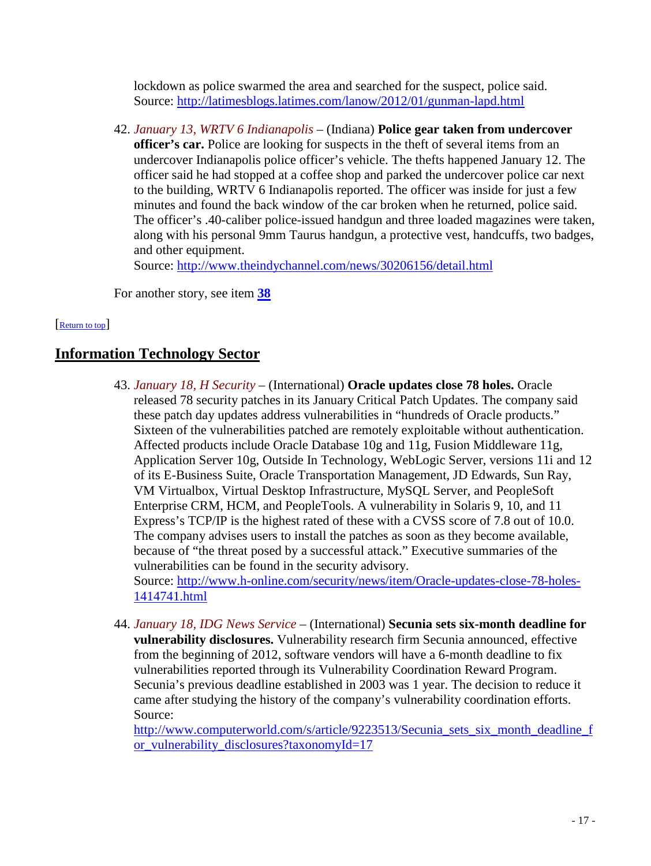lockdown as police swarmed the area and searched for the suspect, police said. Source:<http://latimesblogs.latimes.com/lanow/2012/01/gunman-lapd.html>

42. *January 13, WRTV 6 Indianapolis* – (Indiana) **Police gear taken from undercover officer's car.** Police are looking for suspects in the theft of several items from an undercover Indianapolis police officer's vehicle. The thefts happened January 12. The officer said he had stopped at a coffee shop and parked the undercover police car next to the building, WRTV 6 Indianapolis reported. The officer was inside for just a few minutes and found the back window of the car broken when he returned, police said. The officer's .40-caliber police-issued handgun and three loaded magazines were taken, along with his personal 9mm Taurus handgun, a protective vest, handcuffs, two badges, and other equipment.

Source:<http://www.theindychannel.com/news/30206156/detail.html>

<span id="page-16-0"></span>For another story, see item **[38](#page-14-0)**

#### [\[Return to top\]](#page-0-1)

# **Information Technology Sector**

- 43. *January 18, H Security* (International) **Oracle updates close 78 holes.** Oracle released 78 security patches in its January Critical Patch Updates. The company said these patch day updates address vulnerabilities in "hundreds of Oracle products." Sixteen of the vulnerabilities patched are remotely exploitable without authentication. Affected products include Oracle Database 10g and 11g, Fusion Middleware 11g, Application Server 10g, Outside In Technology, WebLogic Server, versions 11i and 12 of its E-Business Suite, Oracle Transportation Management, JD Edwards, Sun Ray, VM Virtualbox, Virtual Desktop Infrastructure, MySQL Server, and PeopleSoft Enterprise CRM, HCM, and PeopleTools. A vulnerability in Solaris 9, 10, and 11 Express's TCP/IP is the highest rated of these with a CVSS score of 7.8 out of 10.0. The company advises users to install the patches as soon as they become available, because of "the threat posed by a successful attack." Executive summaries of the vulnerabilities can be found in the security advisory. Source: [http://www.h-online.com/security/news/item/Oracle-updates-close-78-holes-](http://www.h-online.com/security/news/item/Oracle-updates-close-78-holes-1414741.html)[1414741.html](http://www.h-online.com/security/news/item/Oracle-updates-close-78-holes-1414741.html)
- 44. *January 18, IDG News Service* (International) **Secunia sets six-month deadline for vulnerability disclosures.** Vulnerability research firm Secunia announced, effective from the beginning of 2012, software vendors will have a 6-month deadline to fix vulnerabilities reported through its Vulnerability Coordination Reward Program. Secunia's previous deadline established in 2003 was 1 year. The decision to reduce it came after studying the history of the company's vulnerability coordination efforts. Source:

http://www.computerworld.com/s/article/9223513/Secunia sets six month deadline f [or\\_vulnerability\\_disclosures?taxonomyId=17](http://www.computerworld.com/s/article/9223513/Secunia_sets_six_month_deadline_for_vulnerability_disclosures?taxonomyId=17)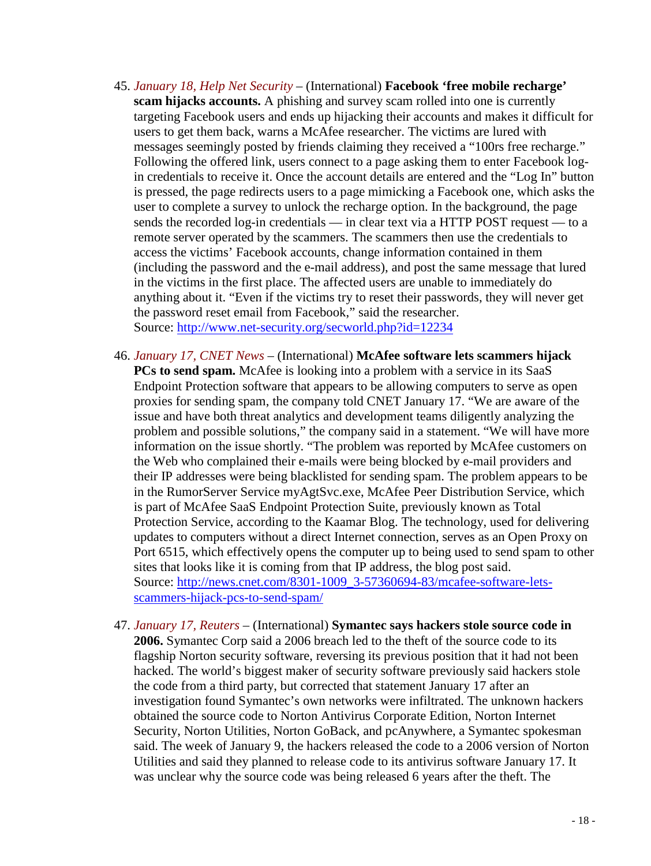- <span id="page-17-0"></span>45. *January 18, Help Net Security* – (International) **Facebook 'free mobile recharge' scam hijacks accounts.** A phishing and survey scam rolled into one is currently targeting Facebook users and ends up hijacking their accounts and makes it difficult for users to get them back, warns a McAfee researcher. The victims are lured with messages seemingly posted by friends claiming they received a "100rs free recharge." Following the offered link, users connect to a page asking them to enter Facebook login credentials to receive it. Once the account details are entered and the "Log In" button is pressed, the page redirects users to a page mimicking a Facebook one, which asks the user to complete a survey to unlock the recharge option. In the background, the page sends the recorded log-in credentials — in clear text via a HTTP POST request — to a remote server operated by the scammers. The scammers then use the credentials to access the victims' Facebook accounts, change information contained in them (including the password and the e-mail address), and post the same message that lured in the victims in the first place. The affected users are unable to immediately do anything about it. "Even if the victims try to reset their passwords, they will never get the password reset email from Facebook," said the researcher. Source:<http://www.net-security.org/secworld.php?id=12234>
- 46. *January 17, CNET News* (International) **McAfee software lets scammers hijack PCs to send spam.** McAfee is looking into a problem with a service in its SaaS Endpoint Protection software that appears to be allowing computers to serve as open proxies for sending spam, the company told CNET January 17. "We are aware of the issue and have both threat analytics and development teams diligently analyzing the problem and possible solutions," the company said in a statement. "We will have more information on the issue shortly. "The problem was reported by McAfee customers on the Web who complained their e-mails were being blocked by e-mail providers and their IP addresses were being blacklisted for sending spam. The problem appears to be in the RumorServer Service myAgtSvc.exe, McAfee Peer Distribution Service, which is part of McAfee SaaS Endpoint Protection Suite, previously known as Total Protection Service, according to the Kaamar Blog. The technology, used for delivering updates to computers without a direct Internet connection, serves as an Open Proxy on Port 6515, which effectively opens the computer up to being used to send spam to other sites that looks like it is coming from that IP address, the blog post said. Source: [http://news.cnet.com/8301-1009\\_3-57360694-83/mcafee-software-lets](http://news.cnet.com/8301-1009_3-57360694-83/mcafee-software-lets-scammers-hijack-pcs-to-send-spam/)[scammers-hijack-pcs-to-send-spam/](http://news.cnet.com/8301-1009_3-57360694-83/mcafee-software-lets-scammers-hijack-pcs-to-send-spam/)
- 47. *January 17, Reuters* (International) **Symantec says hackers stole source code in 2006.** Symantec Corp said a 2006 breach led to the theft of the source code to its flagship Norton security software, reversing its previous position that it had not been hacked. The world's biggest maker of security software previously said hackers stole the code from a third party, but corrected that statement January 17 after an investigation found Symantec's own networks were infiltrated. The unknown hackers obtained the source code to Norton Antivirus Corporate Edition, Norton Internet Security, Norton Utilities, Norton GoBack, and pcAnywhere, a Symantec spokesman said. The week of January 9, the hackers released the code to a 2006 version of Norton Utilities and said they planned to release code to its antivirus software January 17. It was unclear why the source code was being released 6 years after the theft. The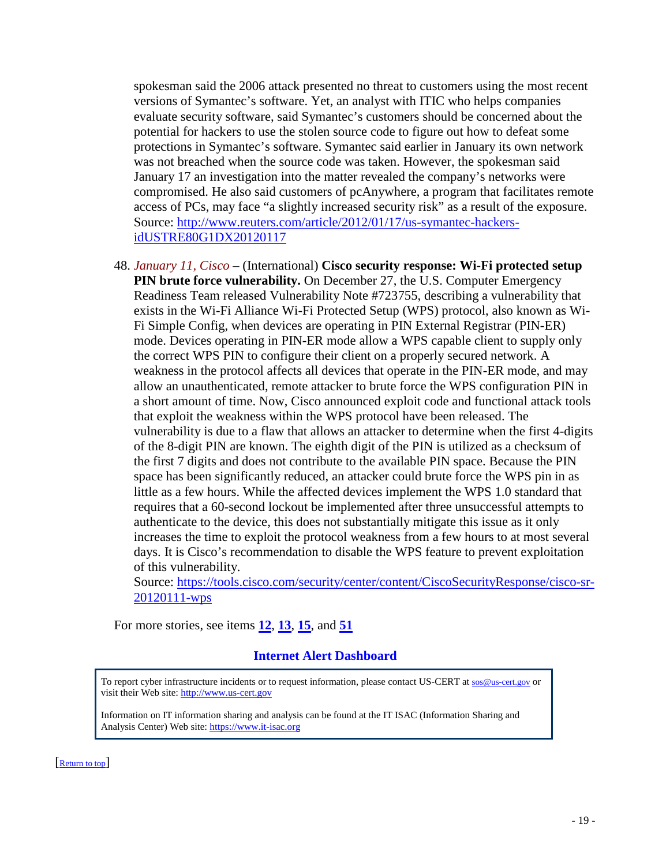spokesman said the 2006 attack presented no threat to customers using the most recent versions of Symantec's software. Yet, an analyst with ITIC who helps companies evaluate security software, said Symantec's customers should be concerned about the potential for hackers to use the stolen source code to figure out how to defeat some protections in Symantec's software. Symantec said earlier in January its own network was not breached when the source code was taken. However, the spokesman said January 17 an investigation into the matter revealed the company's networks were compromised. He also said customers of pcAnywhere, a program that facilitates remote access of PCs, may face "a slightly increased security risk" as a result of the exposure. Source: [http://www.reuters.com/article/2012/01/17/us-symantec-hackers](http://www.reuters.com/article/2012/01/17/us-symantec-hackers-idUSTRE80G1DX20120117)[idUSTRE80G1DX20120117](http://www.reuters.com/article/2012/01/17/us-symantec-hackers-idUSTRE80G1DX20120117)

48. *January 11, Cisco* – (International) **Cisco security response: Wi-Fi protected setup PIN brute force vulnerability.** On December 27, the U.S. Computer Emergency Readiness Team released Vulnerability Note #723755, describing a vulnerability that exists in the Wi-Fi Alliance Wi-Fi Protected Setup (WPS) protocol, also known as Wi-Fi Simple Config, when devices are operating in PIN External Registrar (PIN-ER) mode. Devices operating in PIN-ER mode allow a WPS capable client to supply only the correct WPS PIN to configure their client on a properly secured network. A weakness in the protocol affects all devices that operate in the PIN-ER mode, and may allow an unauthenticated, remote attacker to brute force the WPS configuration PIN in a short amount of time. Now, Cisco announced exploit code and functional attack tools that exploit the weakness within the WPS protocol have been released. The vulnerability is due to a flaw that allows an attacker to determine when the first 4-digits of the 8-digit PIN are known. The eighth digit of the PIN is utilized as a checksum of the first 7 digits and does not contribute to the available PIN space. Because the PIN space has been significantly reduced, an attacker could brute force the WPS pin in as little as a few hours. While the affected devices implement the WPS 1.0 standard that requires that a 60-second lockout be implemented after three unsuccessful attempts to authenticate to the device, this does not substantially mitigate this issue as it only increases the time to exploit the protocol weakness from a few hours to at most several days. It is Cisco's recommendation to disable the WPS feature to prevent exploitation of this vulnerability.

Source: [https://tools.cisco.com/security/center/content/CiscoSecurityResponse/cisco-sr-](https://tools.cisco.com/security/center/content/CiscoSecurityResponse/cisco-sr-20120111-wps)[20120111-wps](https://tools.cisco.com/security/center/content/CiscoSecurityResponse/cisco-sr-20120111-wps)

For more stories, see items **[12](#page-5-0)**, **[13](#page-5-1)**, **[15](#page-6-0)**, and **[51](#page-19-0)**

#### **Internet Alert Dashboard**

To report cyber infrastructure incidents or to request information, please contact US-CERT at [sos@us-cert.gov](mailto:sos@us-cert.gov) or visit their Web site[: http://www.us-cert.gov](http://www.us-cert.gov/)

<span id="page-18-0"></span>Information on IT information sharing and analysis can be found at the IT ISAC (Information Sharing and Analysis Center) Web site: [https://www.it-isac.org](https://www.it-isac.org/) 

[\[Return to top\]](#page-0-1)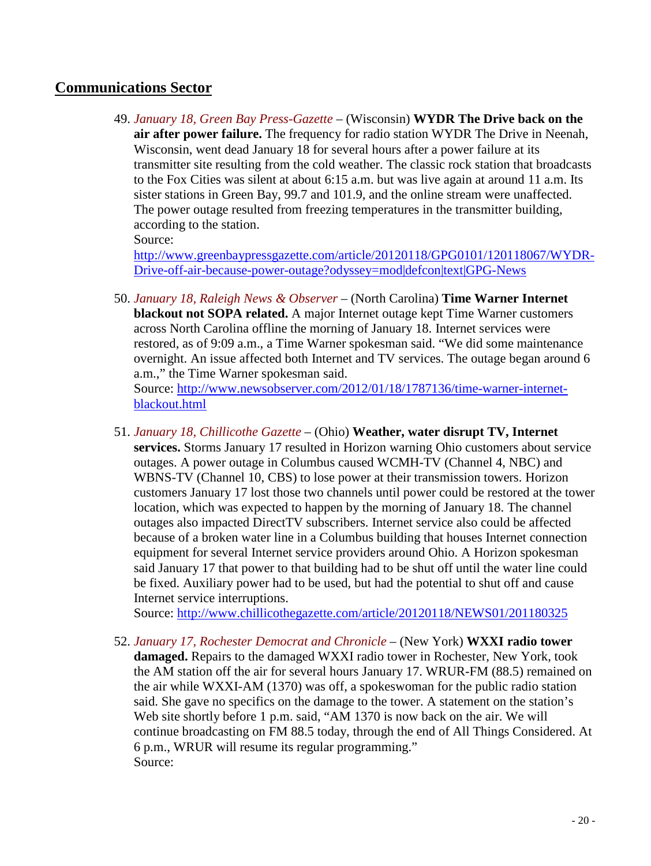# **Communications Sector**

49. *January 18, Green Bay Press-Gazette* – (Wisconsin) **WYDR The Drive back on the air after power failure.** The frequency for radio station WYDR The Drive in Neenah, Wisconsin, went dead January 18 for several hours after a power failure at its transmitter site resulting from the cold weather. The classic rock station that broadcasts to the Fox Cities was silent at about 6:15 a.m. but was live again at around 11 a.m. Its sister stations in Green Bay, 99.7 and 101.9, and the online stream were unaffected. The power outage resulted from freezing temperatures in the transmitter building, according to the station.

Source:

[http://www.greenbaypressgazette.com/article/20120118/GPG0101/120118067/WYDR-](http://www.greenbaypressgazette.com/article/20120118/GPG0101/120118067/WYDR-Drive-off-air-because-power-outage?odyssey=mod|defcon|text|GPG-News)[Drive-off-air-because-power-outage?odyssey=mod|defcon|text|GPG-News](http://www.greenbaypressgazette.com/article/20120118/GPG0101/120118067/WYDR-Drive-off-air-because-power-outage?odyssey=mod|defcon|text|GPG-News)

50. *January 18, Raleigh News & Observer* – (North Carolina) **Time Warner Internet blackout not SOPA related.** A major Internet outage kept Time Warner customers across North Carolina offline the morning of January 18. Internet services were restored, as of 9:09 a.m., a Time Warner spokesman said. "We did some maintenance overnight. An issue affected both Internet and TV services. The outage began around 6 a.m.," the Time Warner spokesman said. Source: [http://www.newsobserver.com/2012/01/18/1787136/time-warner-internet-](http://www.newsobserver.com/2012/01/18/1787136/time-warner-internet-blackout.html)

[blackout.html](http://www.newsobserver.com/2012/01/18/1787136/time-warner-internet-blackout.html)

<span id="page-19-0"></span>51. *January 18, Chillicothe Gazette* – (Ohio) **Weather, water disrupt TV, Internet services.** Storms January 17 resulted in Horizon warning Ohio customers about service outages. A power outage in Columbus caused WCMH-TV (Channel 4, NBC) and WBNS-TV (Channel 10, CBS) to lose power at their transmission towers. Horizon customers January 17 lost those two channels until power could be restored at the tower location, which was expected to happen by the morning of January 18. The channel outages also impacted DirectTV subscribers. Internet service also could be affected because of a broken water line in a Columbus building that houses Internet connection equipment for several Internet service providers around Ohio. A Horizon spokesman said January 17 that power to that building had to be shut off until the water line could be fixed. Auxiliary power had to be used, but had the potential to shut off and cause Internet service interruptions.

Source:<http://www.chillicothegazette.com/article/20120118/NEWS01/201180325>

52. *January 17, Rochester Democrat and Chronicle* – (New York) **WXXI radio tower damaged.** Repairs to the damaged WXXI radio tower in Rochester, New York, took the AM station off the air for several hours January 17. WRUR-FM (88.5) remained on the air while WXXI-AM (1370) was off, a spokeswoman for the public radio station said. She gave no specifics on the damage to the tower. A statement on the station's Web site shortly before 1 p.m. said, "AM 1370 is now back on the air. We will continue broadcasting on FM 88.5 today, through the end of All Things Considered. At 6 p.m., WRUR will resume its regular programming." Source: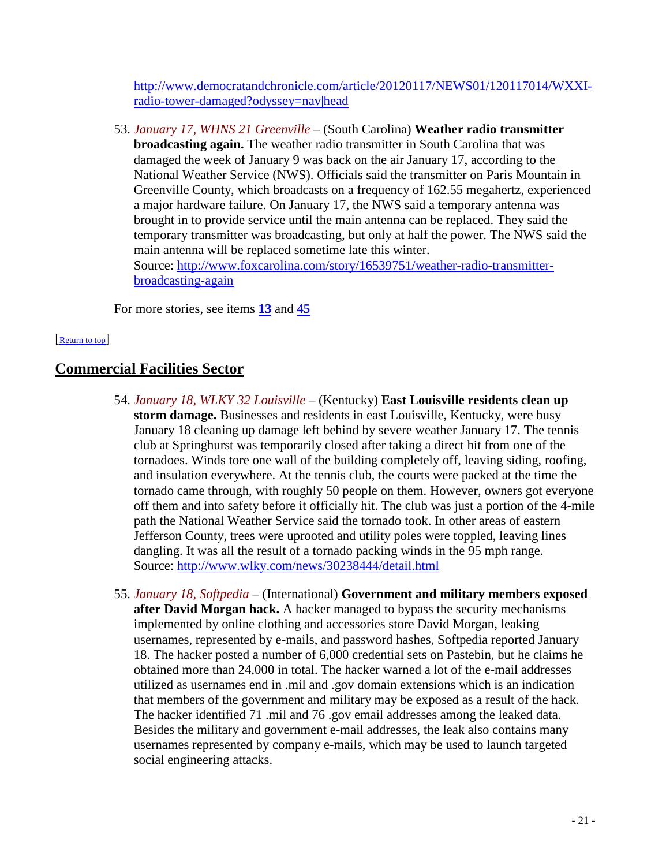[http://www.democratandchronicle.com/article/20120117/NEWS01/120117014/WXXI](http://www.democratandchronicle.com/article/20120117/NEWS01/120117014/WXXI-radio-tower-damaged?odyssey=nav|head)[radio-tower-damaged?odyssey=nav|head](http://www.democratandchronicle.com/article/20120117/NEWS01/120117014/WXXI-radio-tower-damaged?odyssey=nav|head)

53. *January 17, WHNS 21 Greenville* – (South Carolina) **Weather radio transmitter broadcasting again.** The weather radio transmitter in South Carolina that was damaged the week of January 9 was back on the air January 17, according to the National Weather Service (NWS). Officials said the transmitter on Paris Mountain in Greenville County, which broadcasts on a frequency of 162.55 megahertz, experienced a major hardware failure. On January 17, the NWS said a temporary antenna was brought in to provide service until the main antenna can be replaced. They said the temporary transmitter was broadcasting, but only at half the power. The NWS said the main antenna will be replaced sometime late this winter. Source: [http://www.foxcarolina.com/story/16539751/weather-radio-transmitter](http://www.foxcarolina.com/story/16539751/weather-radio-transmitter-broadcasting-again)[broadcasting-again](http://www.foxcarolina.com/story/16539751/weather-radio-transmitter-broadcasting-again)

<span id="page-20-0"></span>For more stories, see items **[13](#page-5-1)** and **[45](#page-17-0)**

#### [\[Return to top\]](#page-0-1)

# **Commercial Facilities Sector**

- 54. *January 18, WLKY 32 Louisville* (Kentucky) **East Louisville residents clean up storm damage.** Businesses and residents in east Louisville, Kentucky, were busy January 18 cleaning up damage left behind by severe weather January 17. The tennis club at Springhurst was temporarily closed after taking a direct hit from one of the tornadoes. Winds tore one wall of the building completely off, leaving siding, roofing, and insulation everywhere. At the tennis club, the courts were packed at the time the tornado came through, with roughly 50 people on them. However, owners got everyone off them and into safety before it officially hit. The club was just a portion of the 4-mile path the National Weather Service said the tornado took. In other areas of eastern Jefferson County, trees were uprooted and utility poles were toppled, leaving lines dangling. It was all the result of a tornado packing winds in the 95 mph range. Source:<http://www.wlky.com/news/30238444/detail.html>
- <span id="page-20-1"></span>55. *January 18, Softpedia* – (International) **Government and military members exposed after David Morgan hack.** A hacker managed to bypass the security mechanisms implemented by online clothing and accessories store David Morgan, leaking usernames, represented by e-mails, and password hashes, Softpedia reported January 18. The hacker posted a number of 6,000 credential sets on Pastebin, but he claims he obtained more than 24,000 in total. The hacker warned a lot of the e-mail addresses utilized as usernames end in .mil and .gov domain extensions which is an indication that members of the government and military may be exposed as a result of the hack. The hacker identified 71 .mil and 76 .gov email addresses among the leaked data. Besides the military and government e-mail addresses, the leak also contains many usernames represented by company e-mails, which may be used to launch targeted social engineering attacks.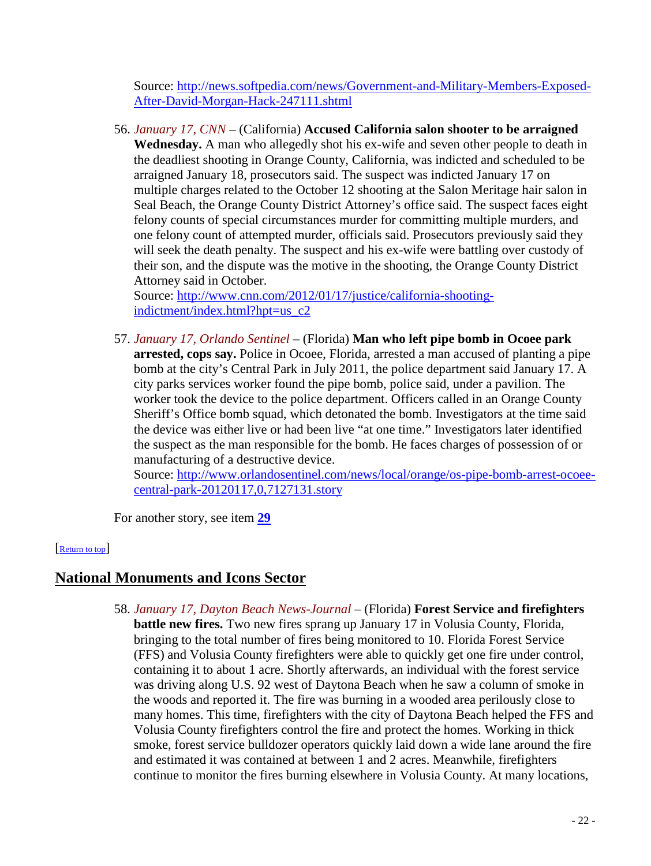Source: [http://news.softpedia.com/news/Government-and-Military-Members-Exposed-](http://news.softpedia.com/news/Government-and-Military-Members-Exposed-After-David-Morgan-Hack-247111.shtml)[After-David-Morgan-Hack-247111.shtml](http://news.softpedia.com/news/Government-and-Military-Members-Exposed-After-David-Morgan-Hack-247111.shtml)

56. *January 17, CNN* – (California) **Accused California salon shooter to be arraigned Wednesday.** A man who allegedly shot his ex-wife and seven other people to death in the deadliest shooting in Orange County, California, was indicted and scheduled to be arraigned January 18, prosecutors said. The suspect was indicted January 17 on multiple charges related to the October 12 shooting at the Salon Meritage hair salon in Seal Beach, the Orange County District Attorney's office said. The suspect faces eight felony counts of special circumstances murder for committing multiple murders, and one felony count of attempted murder, officials said. Prosecutors previously said they will seek the death penalty. The suspect and his ex-wife were battling over custody of their son, and the dispute was the motive in the shooting, the Orange County District Attorney said in October.

Source: [http://www.cnn.com/2012/01/17/justice/california-shooting](http://www.cnn.com/2012/01/17/justice/california-shooting-indictment/index.html?hpt=us_c2)[indictment/index.html?hpt=us\\_c2](http://www.cnn.com/2012/01/17/justice/california-shooting-indictment/index.html?hpt=us_c2)

57. *January 17, Orlando Sentinel* – (Florida) **Man who left pipe bomb in Ocoee park arrested, cops say.** Police in Ocoee, Florida, arrested a man accused of planting a pipe bomb at the city's Central Park in July 2011, the police department said January 17. A city parks services worker found the pipe bomb, police said, under a pavilion. The worker took the device to the police department. Officers called in an Orange County Sheriff's Office bomb squad, which detonated the bomb. Investigators at the time said the device was either live or had been live "at one time." Investigators later identified the suspect as the man responsible for the bomb. He faces charges of possession of or manufacturing of a destructive device.

Source: [http://www.orlandosentinel.com/news/local/orange/os-pipe-bomb-arrest-ocoee](http://www.orlandosentinel.com/news/local/orange/os-pipe-bomb-arrest-ocoee-central-park-20120117,0,7127131.story)[central-park-20120117,0,7127131.story](http://www.orlandosentinel.com/news/local/orange/os-pipe-bomb-arrest-ocoee-central-park-20120117,0,7127131.story)

<span id="page-21-0"></span>For another story, see item **[29](#page-12-2)**

# [\[Return to top\]](#page-0-1)

# **National Monuments and Icons Sector**

58. *January 17, Dayton Beach News-Journal* – (Florida) **Forest Service and firefighters battle new fires.** Two new fires sprang up January 17 in Volusia County, Florida, bringing to the total number of fires being monitored to 10. Florida Forest Service (FFS) and Volusia County firefighters were able to quickly get one fire under control, containing it to about 1 acre. Shortly afterwards, an individual with the forest service was driving along U.S. 92 west of Daytona Beach when he saw a column of smoke in the woods and reported it. The fire was burning in a wooded area perilously close to many homes. This time, firefighters with the city of Daytona Beach helped the FFS and Volusia County firefighters control the fire and protect the homes. Working in thick smoke, forest service bulldozer operators quickly laid down a wide lane around the fire and estimated it was contained at between 1 and 2 acres. Meanwhile, firefighters continue to monitor the fires burning elsewhere in Volusia County. At many locations,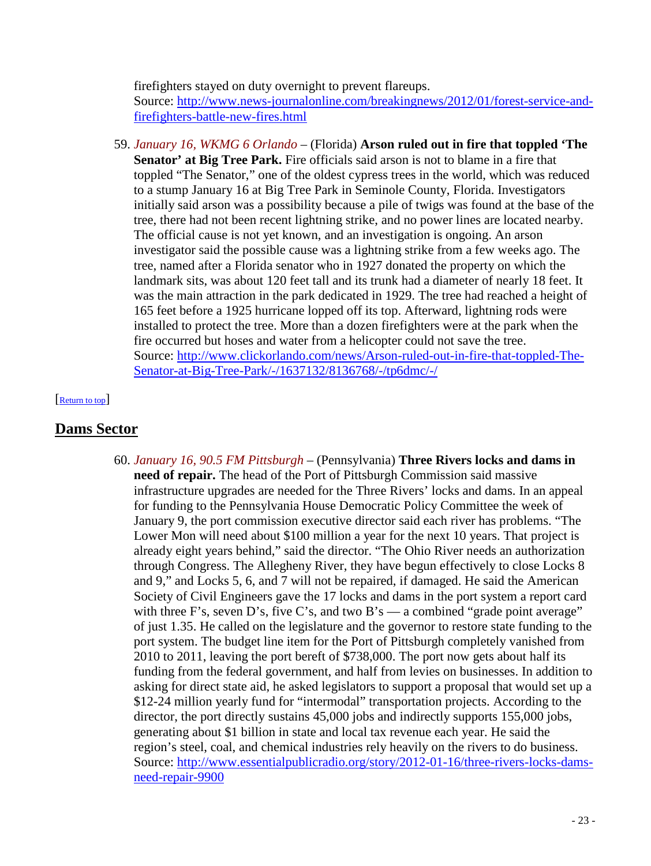firefighters stayed on duty overnight to prevent flareups. Source: [http://www.news-journalonline.com/breakingnews/2012/01/forest-service-and](http://www.news-journalonline.com/breakingnews/2012/01/forest-service-and-firefighters-battle-new-fires.html)[firefighters-battle-new-fires.html](http://www.news-journalonline.com/breakingnews/2012/01/forest-service-and-firefighters-battle-new-fires.html)

59. *January 16, WKMG 6 Orlando* – (Florida) **Arson ruled out in fire that toppled 'The Senator' at Big Tree Park.** Fire officials said arson is not to blame in a fire that toppled "The Senator," one of the oldest cypress trees in the world, which was reduced to a stump January 16 at Big Tree Park in Seminole County, Florida. Investigators initially said arson was a possibility because a pile of twigs was found at the base of the tree, there had not been recent lightning strike, and no power lines are located nearby. The official cause is not yet known, and an investigation is ongoing. An arson investigator said the possible cause was a lightning strike from a few weeks ago. The tree, named after a Florida senator who in 1927 donated the property on which the landmark sits, was about 120 feet tall and its trunk had a diameter of nearly 18 feet. It was the main attraction in the park dedicated in 1929. The tree had reached a height of 165 feet before a 1925 hurricane lopped off its top. Afterward, lightning rods were installed to protect the tree. More than a dozen firefighters were at the park when the fire occurred but hoses and water from a helicopter could not save the tree. Source: [http://www.clickorlando.com/news/Arson-ruled-out-in-fire-that-toppled-The-](http://www.clickorlando.com/news/Arson-ruled-out-in-fire-that-toppled-The-Senator-at-Big-Tree-Park/-/1637132/8136768/-/tp6dmc/-/)[Senator-at-Big-Tree-Park/-/1637132/8136768/-/tp6dmc/-/](http://www.clickorlando.com/news/Arson-ruled-out-in-fire-that-toppled-The-Senator-at-Big-Tree-Park/-/1637132/8136768/-/tp6dmc/-/)

#### <span id="page-22-0"></span>[\[Return to top\]](#page-0-1)

# <span id="page-22-1"></span>**Dams Sector**

60. *January 16, 90.5 FM Pittsburgh* – (Pennsylvania) **Three Rivers locks and dams in need of repair.** The head of the Port of Pittsburgh Commission said massive infrastructure upgrades are needed for the Three Rivers' locks and dams. In an appeal for funding to the Pennsylvania House Democratic Policy Committee the week of January 9, the port commission executive director said each river has problems. "The Lower Mon will need about \$100 million a year for the next 10 years. That project is already eight years behind," said the director. "The Ohio River needs an authorization through Congress. The Allegheny River, they have begun effectively to close Locks 8 and 9," and Locks 5, 6, and 7 will not be repaired, if damaged. He said the American Society of Civil Engineers gave the 17 locks and dams in the port system a report card with three F's, seven D's, five C's, and two B's — a combined "grade point average" of just 1.35. He called on the legislature and the governor to restore state funding to the port system. The budget line item for the Port of Pittsburgh completely vanished from 2010 to 2011, leaving the port bereft of \$738,000. The port now gets about half its funding from the federal government, and half from levies on businesses. In addition to asking for direct state aid, he asked legislators to support a proposal that would set up a \$12-24 million yearly fund for "intermodal" transportation projects. According to the director, the port directly sustains 45,000 jobs and indirectly supports 155,000 jobs, generating about \$1 billion in state and local tax revenue each year. He said the region's steel, coal, and chemical industries rely heavily on the rivers to do business. Source: [http://www.essentialpublicradio.org/story/2012-01-16/three-rivers-locks-dams](http://www.essentialpublicradio.org/story/2012-01-16/three-rivers-locks-dams-need-repair-9900)[need-repair-9900](http://www.essentialpublicradio.org/story/2012-01-16/three-rivers-locks-dams-need-repair-9900)